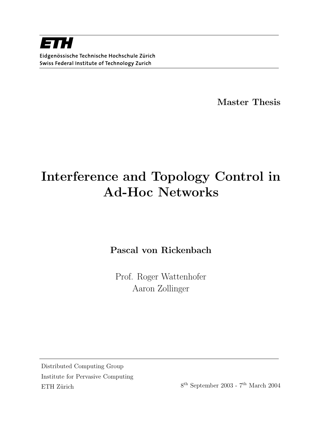Master Thesis

# Interference and Topology Control in Ad-Hoc Networks

Pascal von Rickenbach

Prof. Roger Wattenhofer Aaron Zollinger

Distributed Computing Group Institute for Pervasive Computing ETH Zürich

 $8^{\text{th}}$  September 2003 -  $7^{\text{th}}$  March 2004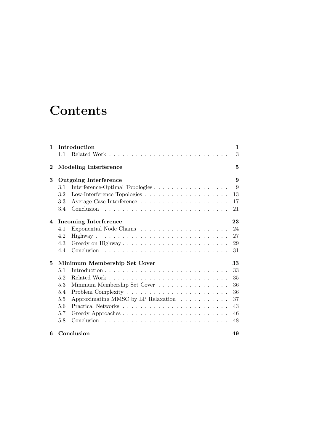# **Contents**

| 1        |                              | Introduction                        | 1  |
|----------|------------------------------|-------------------------------------|----|
|          | 1.1                          |                                     | 3  |
| $\bf{2}$ |                              | <b>Modeling Interference</b>        | 5  |
| 3        | <b>Outgoing Interference</b> |                                     | 9  |
|          | 3.1                          | Interference-Optimal Topologies     | 9  |
|          | 3.2                          |                                     | 13 |
|          | 3.3                          |                                     | 17 |
|          | 3.4                          |                                     | 21 |
| 4        | <b>Incoming Interference</b> |                                     | 23 |
|          | 4.1                          |                                     | 24 |
|          | 4.2                          |                                     | 27 |
|          | 4.3                          |                                     | 29 |
|          | 4.4                          |                                     | 31 |
| 5        | Minimum Membership Set Cover |                                     | 33 |
|          | 5.1                          |                                     | 33 |
|          | 5.2                          |                                     | 35 |
|          | 5.3                          | Minimum Membership Set Cover        | 36 |
|          | 5.4                          |                                     | 36 |
|          | 5.5                          | Approximating MMSC by LP Relaxation | 37 |
|          | 5.6                          |                                     | 43 |
|          | 5.7                          |                                     | 46 |
|          | 5.8                          |                                     | 48 |
| 6        | Conclusion                   |                                     | 49 |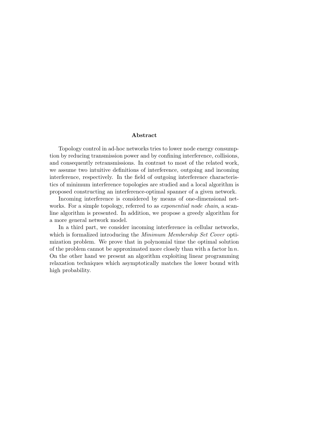#### Abstract

Topology control in ad-hoc networks tries to lower node energy consumption by reducing transmission power and by confining interference, collisions, and consequently retransmissions. In contrast to most of the related work, we assume two intuitive definitions of interference, outgoing and incoming interference, respectively. In the field of outgoing interference characteristics of minimum interference topologies are studied and a local algorithm is proposed constructing an interference-optimal spanner of a given network.

Incoming interference is considered by means of one-dimensional networks. For a simple topology, referred to as *exponential node chain*, a scanline algorithm is presented. In addition, we propose a greedy algorithm for a more general network model.

In a third part, we consider incoming interference in cellular networks, which is formalized introducing the *Minimum Membership Set Cover* optimization problem. We prove that in polynomial time the optimal solution of the problem cannot be approximated more closely than with a factor  $\ln n$ . On the other hand we present an algorithm exploiting linear programming relaxation techniques which asymptotically matches the lower bound with high probability.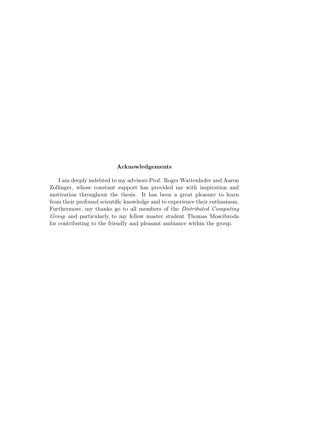#### Acknowledgements

I am deeply indebted to my advisors Prof. Roger Wattenhofer and Aaron Zollinger, whose constant support has provided me with inspiration and motivation throughout the thesis. It has been a great pleasure to learn from their profound scientific knowledge and to experience their enthusiasm. Furthermore, my thanks go to all members of the Distributed Computing Group and particularly to my fellow master student Thomas Moscibroda for contributing to the friendly and pleasant ambiance within the group.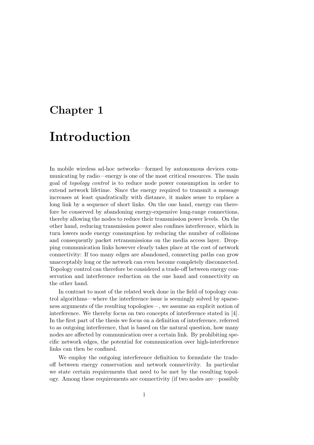# Chapter 1

# Introduction

In mobile wireless ad-hoc networks—formed by autonomous devices communicating by radio—energy is one of the most critical resources. The main goal of topology control is to reduce node power consumption in order to extend network lifetime. Since the energy required to transmit a message increases at least quadratically with distance, it makes sense to replace a long link by a sequence of short links. On the one hand, energy can therefore be conserved by abandoning energy-expensive long-range connections, thereby allowing the nodes to reduce their transmission power levels. On the other hand, reducing transmission power also confines interference, which in turn lowers node energy consumption by reducing the number of collisions and consequently packet retransmissions on the media access layer. Dropping communication links however clearly takes place at the cost of network connectivity: If too many edges are abandoned, connecting paths can grow unacceptably long or the network can even become completely disconnected. Topology control can therefore be considered a trade-off between energy conservation and interference reduction on the one hand and connectivity on the other hand.

In contrast to most of the related work done in the field of topology control algorithms—where the interference issue is seemingly solved by sparseness arguments of the resulting topologies—, we assume an explicit notion of interference. We thereby focus on two concepts of interference stated in [4]. In the first part of the thesis we focus on a definition of interference, referred to as outgoing interference, that is based on the natural question, how many nodes are affected by communication over a certain link. By prohibiting specific network edges, the potential for communication over high-interference links can then be confined.

We employ the outgoing interference definition to formulate the tradeoff between energy conservation and network connectivity. In particular we state certain requirements that need to be met by the resulting topology. Among these requirements are connectivity (if two nodes are—possibly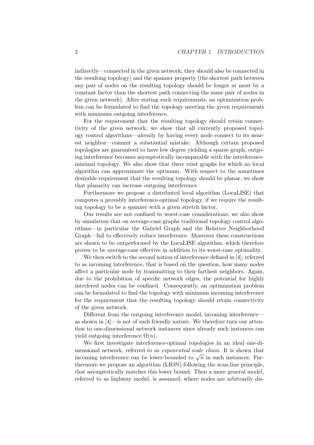indirectly—connected in the given network, they should also be connected in the resulting topology) and the spanner property (the shortest path between any pair of nodes on the resulting topology should be longer at most by a constant factor than the shortest path connecting the same pair of nodes in the given network). After stating such requirements, an optimization problem can be formulated to find the topology meeting the given requirements with minimum outgoing interference.

For the requirement that the resulting topology should retain connectivity of the given network, we show that all currently proposed topology control algorithms—already by having every node connect to its nearest neighbor—commit a substantial mistake: Although certain proposed topologies are guaranteed to have low degree yielding a sparse graph, outgoing interference becomes asymptotically incomparable with the interferenceminimal topology. We also show that there exist graphs for which no local algorithm can approximate the optimum. With respect to the sometimes desirable requirement that the resulting topology should be planar, we show that planarity can increase outgoing interference.

Furthermore we propose a distributed local algorithm (LocaLISE) that computes a provably interference-optimal topology, if we require the resulting topology to be a spanner with a given stretch factor.

Our results are not confined to worst-case considerations; we also show by simulation that on average-case graphs traditional topology control algorithms—in particular the Gabriel Graph and the Relative Neighborhood Graph—fail to effectively reduce interference. Moreover these constructions are shown to be outperformed by the LocaLISE algorithm, which therefore proves to be average-case effective in addition to its worst-case optimality.

We then switch to the second notion of interference defined in [4], referred to as incoming interference, that is based on the question, how many nodes affect a particular node by transmitting to their farthest neighbors. Again, due to the prohibition of specific network edges, the potential for highly interfered nodes can be confined. Consequently, an optimization problem can be formulated to find the topology with minimum incoming interference for the requirement that the resulting topology should retain connectivity of the given network.

Different from the outgoing interference model, incoming interference as shown in [4]—is not of such friendly nature. We therefore turn our attention to one-dimensional network instances since already such instances can yield outgoing interference  $\Omega(n)$ .

We first investigate interference-optimal topologies in an ideal one-dimensional network, referred to as exponential node chain. It is shown that incoming interference can be lower-bounded to  $\sqrt{n}$  in such instances. Furthermore we propose an algorithm (LION) following the scan-line principle, that asymptotically matches this lower bound. Then a more general model, referred to as highway model, is assumed, where nodes are arbitrarily dis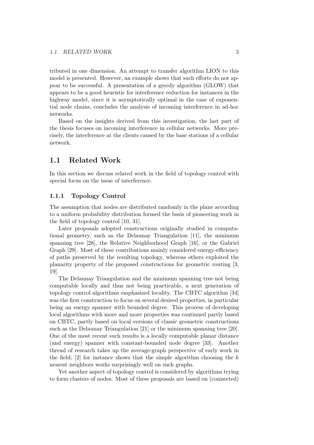tributed in one dimension. An attempt to transfer algorithm LION to this model is presented. However, an example shows that such efforts do not appear to be successful. A presentation of a greedy algorithm (GLOW) that appears to be a good heuristic for interference reduction for instances in the highway model, since it is asymptotically optimal in the case of exponential node chains, concludes the analysis of incoming interference in ad-hoc networks.

Based on the insights derived from this investigation, the last part of the thesis focuses on incoming interference in cellular networks. More precisely, the interference at the clients caused by the base stations of a cellular network.

### 1.1 Related Work

In this section we discuss related work in the field of topology control with special focus on the issue of interference.

#### 1.1.1 Topology Control

The assumption that nodes are distributed randomly in the plane according to a uniform probability distribution formed the basis of pioneering work in the field of topology control [10, 31].

Later proposals adopted constructions originally studied in computational geometry, such as the Delaunay Triangulation [11], the minimum spanning tree [28], the Relative Neighborhood Graph [16], or the Gabriel Graph [29]. Most of these contributions mainly considered energy-efficiency of paths preserved by the resulting topology, whereas others exploited the planarity property of the proposed constructions for geometric routing [3, 19].

The Delaunay Triangulation and the minimum spanning tree not being computable locally and thus not being practicable, a next generation of topology control algorithms emphasized locality. The CBTC algorithm [34] was the first construction to focus on several desired properties, in particular being an energy spanner with bounded degree. This process of developing local algorithms with more and more properties was continued partly based on CBTC, partly based on local versions of classic geometric constructions such as the Delaunay Triangulation [21] or the minimum spanning tree [20]. One of the most recent such results is a locally computable planar distance (and energy) spanner with constant-bounded node degree [33]. Another thread of research takes up the average-graph perspective of early work in the field; [2] for instance shows that the simple algorithm choosing the  $k$ nearest neighbors works surprisingly well on such graphs.

Yet another aspect of topology control is considered by algorithms trying to form clusters of nodes. Most of these proposals are based on (connected)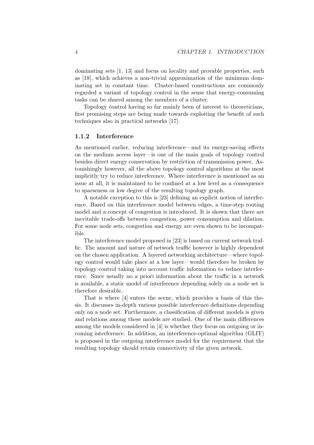dominating sets [1, 13] and focus on locality and provable properties, such as [18], which achieves a non-trivial approximation of the minimum dominating set in constant time. Cluster-based constructions are commonly regarded a variant of topology control in the sense that energy-consuming tasks can be shared among the members of a cluster.

Topology control having so far mainly been of interest to theoreticians, first promising steps are being made towards exploiting the benefit of such techniques also in practical networks [17].

### 1.1.2 Interference

As mentioned earlier, reducing interference—and its energy-saving effects on the medium access layer—is one of the main goals of topology control besides direct energy conservation by restriction of transmission power. Astonishingly however, all the above topology control algorithms at the most implicitly try to reduce interference. Where interference is mentioned as an issue at all, it is maintained to be confined at a low level as a consequence to sparseness or low degree of the resulting topology graph.

A notable exception to this is [23] defining an explicit notion of interference. Based on this interference model between edges, a time-step routing model and a concept of congestion is introduced. It is shown that there are inevitable trade-offs between congestion, power consumption and dilation. For some node sets, congestion and energy are even shown to be incompatible.

The interference model proposed in [23] is based on current network traffic. The amount and nature of network traffic however is highly dependent on the chosen application. A layered networking architecture—where topology control would take place at a low layer—would therefore be broken by topology control taking into account traffic information to reduce interference. Since usually no a priori information about the traffic in a network is available, a static model of interference depending solely on a node set is therefore desirable.

That is where [4] enters the scene, which provides a basis of this thesis. It discusses in-depth various possible interference definitions depending only on a node set. Furthermore, a classification of different models is given and relations among these models are studied. One of the main differences among the models considered in [4] is whether they focus on outgoing or incoming interference. In addition, an interference-optimal algorithm (GLIT) is proposed in the outgoing interference model for the requirement that the resulting topology should retain connectivity of the given network.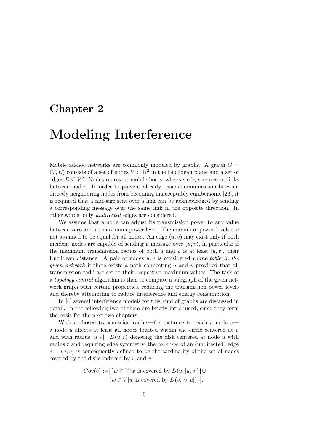# Chapter 2

# Modeling Interference

Mobile ad-hoc networks are commonly modeled by graphs. A graph  $G =$  $(V, E)$  consists of a set of nodes  $V \subset \mathbb{R}^2$  in the Euclidean plane and a set of edges  $E \subseteq V^2$ . Nodes represent mobile hosts, whereas edges represent links between nodes. In order to prevent already basic communication between directly neighboring nodes from becoming unacceptably cumbersome [26], it is required that a message sent over a link can be acknowledged by sending a corresponding message over the same link in the opposite direction. In other words, only undirected edges are considered.

We assume that a node can adjust its transmission power to any value between zero and its maximum power level. The maximum power levels are not assumed to be equal for all nodes. An edge  $(u, v)$  may exist only if both incident nodes are capable of sending a message over  $(u, v)$ , in particular if the maximum transmission radius of both u and v is at least  $|u, v|$ , their Euclidean distance. A pair of nodes  $u, v$  is considered *connectable in the* given network if there exists a path connecting u and v provided that all transmission radii are set to their respective maximum values. The task of a topology control algorithm is then to compute a subgraph of the given network graph with certain properties, reducing the transmission power levels and thereby attempting to reduce interference and energy consumption.

In [4] several interference models for this kind of graphs are discussed in detail. In the following two of them are briefly introduced, since they form the basis for the next two chapters.

With a chosen transmission radius—for instance to reach a node  $v$  a node  $u$  affects at least all nodes located within the circle centered at  $u$ and with radius  $|u, v|$ .  $D(u, r)$  denoting the disk centered at node u with radius r and requiring edge symmetry, the *coverage* of an (undirected) edge  $e = (u, v)$  is consequently defined to be the cardinality of the set of nodes covered by the disks induced by  $u$  and  $v$ :

$$
Cov(e) := |\{w \in V | w \text{ is covered by } D(u, |u, v|)\} \cup
$$
  

$$
\{w \in V | w \text{ is covered by } D(v, |v, u|)\}|.
$$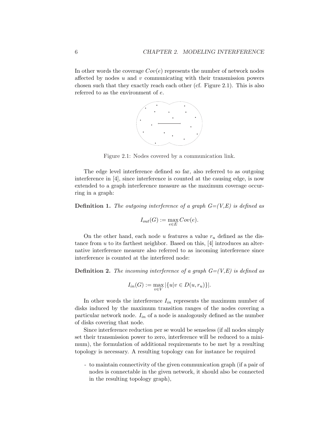In other words the coverage  $Cov(e)$  represents the number of network nodes affected by nodes  $u$  and  $v$  communicating with their transmission powers chosen such that they exactly reach each other (cf. Figure 2.1). This is also referred to as the environment of e.



Figure 2.1: Nodes covered by a communication link.

The edge level interference defined so far, also referred to as outgoing interference in [4], since interference is counted at the causing edge, is now extended to a graph interference measure as the maximum coverage occurring in a graph:

**Definition 1.** The outgoing interference of a graph  $G=(V,E)$  is defined as

$$
I_{out}(G) := \max_{e \in E} Cov(e).
$$

On the other hand, each node u features a value  $r_u$  defined as the distance from  $u$  to its farthest neighbor. Based on this, [4] introduces an alternative interference measure also referred to as incoming interference since interference is counted at the interfered node:

**Definition 2.** The incoming interference of a graph  $G=(V,E)$  is defined as

$$
I_{in}(G) := \max_{v \in V} |\{u|v \in D(u, r_u)\}|.
$$

In other words the interference  $I_{in}$  represents the maximum number of disks induced by the maximum transition ranges of the nodes covering a particular network node.  $I_{in}$  of a node is analogously defined as the number of disks covering that node.

Since interference reduction per se would be senseless (if all nodes simply set their transmission power to zero, interference will be reduced to a minimum), the formulation of additional requirements to be met by a resulting topology is necessary. A resulting topology can for instance be required

- to maintain connectivity of the given communication graph (if a pair of nodes is connectable in the given network, it should also be connected in the resulting topology graph),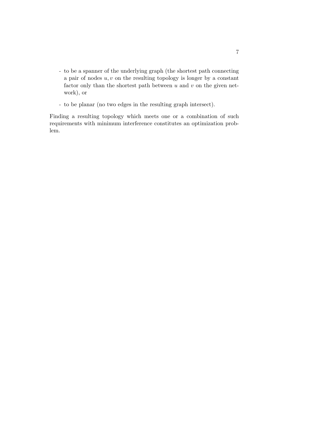- to be a spanner of the underlying graph (the shortest path connecting a pair of nodes  $u, v$  on the resulting topology is longer by a constant factor only than the shortest path between  $u$  and  $v$  on the given network), or
- to be planar (no two edges in the resulting graph intersect).

Finding a resulting topology which meets one or a combination of such requirements with minimum interference constitutes an optimization problem.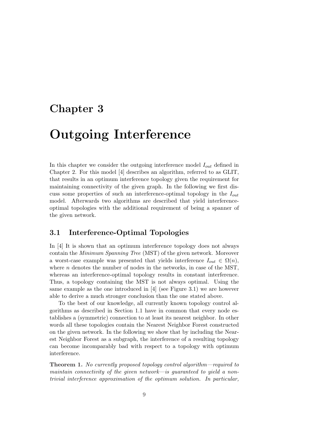# Chapter 3

# Outgoing Interference

In this chapter we consider the outgoing interference model  $I_{out}$  defined in Chapter 2. For this model [4] describes an algorithm, referred to as GLIT, that results in an optimum interference topology given the requirement for maintaining connectivity of the given graph. In the following we first discuss some properties of such an interference-optimal topology in the  $I_{out}$ model. Afterwards two algorithms are described that yield interferenceoptimal topologies with the additional requirement of being a spanner of the given network.

### 3.1 Interference-Optimal Topologies

In [4] It is shown that an optimum interference topology does not always contain the Minimum Spanning Tree (MST) of the given network. Moreover a worst-case example was presented that yields interference  $I_{out} \in \Omega(n)$ , where  $n$  denotes the number of nodes in the networks, in case of the MST, whereas an interference-optimal topology results in constant interference. Thus, a topology containing the MST is not always optimal. Using the same example as the one introduced in  $[4]$  (see Figure 3.1) we are however able to derive a much stronger conclusion than the one stated above.

To the best of our knowledge, all currently known topology control algorithms as described in Section 1.1 have in common that every node establishes a (symmetric) connection to at least its nearest neighbor. In other words all these topologies contain the Nearest Neighbor Forest constructed on the given network. In the following we show that by including the Nearest Neighbor Forest as a subgraph, the interference of a resulting topology can become incomparably bad with respect to a topology with optimum interference.

Theorem 1. No currently proposed topology control algorithm—required to maintain connectivity of the given network—is guaranteed to yield a nontrivial interference approximation of the optimum solution. In particular,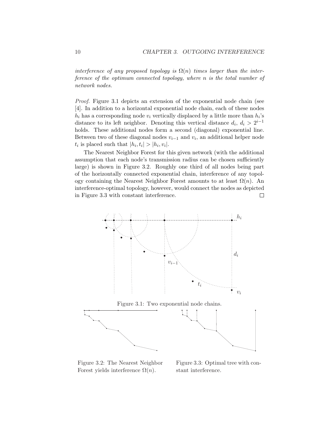interference of any proposed topology is  $\Omega(n)$  times larger than the interference of the optimum connected topology, where n is the total number of network nodes.

Proof. Figure 3.1 depicts an extension of the exponential node chain (see [4]. In addition to a horizontal exponential node chain, each of these nodes  $h_i$  has a corresponding node  $v_i$  vertically displaced by a little more than  $h_i$ 's distance to its left neighbor. Denoting this vertical distance  $d_i, d_i > 2^{i-1}$ holds. These additional nodes form a second (diagonal) exponential line. Between two of these diagonal nodes  $v_{i-1}$  and  $v_i$ , an additional helper node  $t_i$  is placed such that  $|h_i, t_i| > |h_i, v_i|$ .

The Nearest Neighbor Forest for this given network (with the additional assumption that each node's transmission radius can be chosen sufficiently large) is shown in Figure 3.2. Roughly one third of all nodes being part of the horizontally connected exponential chain, interference of any topology containing the Nearest Neighbor Forest amounts to at least  $\Omega(n)$ . An interference-optimal topology, however, would connect the nodes as depicted in Figure 3.3 with constant interference.  $\Box$ 



Figure 3.2: The Nearest Neighbor Forest yields interference  $\Omega(n)$ .

Figure 3.3: Optimal tree with constant interference.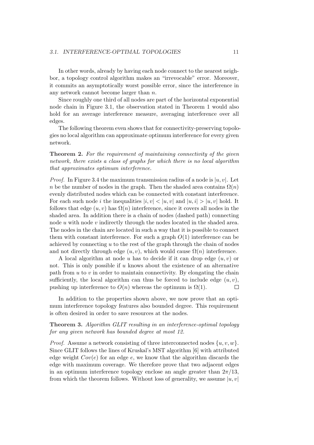In other words, already by having each node connect to the nearest neighbor, a topology control algorithm makes an "irrevocable" error. Moreover, it commits an asymptotically worst possible error, since the interference in any network cannot become larger than n.

Since roughly one third of all nodes are part of the horizontal exponential node chain in Figure 3.1, the observation stated in Theorem 1 would also hold for an average interference measure, averaging interference over all edges.

The following theorem even shows that for connectivity-preserving topologies no local algorithm can approximate optimum interference for every given network.

Theorem 2. For the requirement of maintaining connectivity of the given network, there exists a class of graphs for which there is no local algorithm that approximates optimum interference.

*Proof.* In Figure 3.4 the maximum transmission radius of a node is  $|u, v|$ . Let n be the number of nodes in the graph. Then the shaded area contains  $\Omega(n)$ evenly distributed nodes which can be connected with constant interference. For each such node i the inequalities  $|i, v| < |u, v|$  and  $|u, i| > |u, v|$  hold. It follows that edge  $(u, v)$  has  $\Omega(n)$  interference, since it covers all nodes in the shaded area. In addition there is a chain of nodes (dashed path) connecting node  $u$  with node  $v$  indirectly through the nodes located in the shaded area. The nodes in the chain are located in such a way that it is possible to connect them with constant interference. For such a graph  $O(1)$  interference can be achieved by connecting  $u$  to the rest of the graph through the chain of nodes and not directly through edge  $(u, v)$ , which would cause  $\Omega(n)$  interference.

A local algorithm at node u has to decide if it can drop edge  $(u, v)$  or not. This is only possible if  $u$  knows about the existence of an alternative path from  $u$  to  $v$  in order to maintain connectivity. By elongating the chain sufficiently, the local algorithm can thus be forced to include edge  $(u, v)$ , pushing up interference to  $O(n)$  whereas the optimum is  $\Omega(1)$ .  $\Box$ 

In addition to the properties shown above, we now prove that an optimum interference topology features also bounded degree. This requirement is often desired in order to save resources at the nodes.

#### Theorem 3. Algorithm GLIT resulting in an interference-optimal topology for any given network has bounded degree at most 12.

*Proof.* Assume a network consisting of three interconnected nodes  $\{u, v, w\}$ . Since GLIT follows the lines of Kruskal's MST algorithm [6] with attributed edge weight  $Cov(e)$  for an edge e, we know that the algorithm discards the edge with maximum coverage. We therefore prove that two adjacent edges in an optimum interference topology enclose an angle greater than  $2\pi/13$ , from which the theorem follows. Without loss of generality, we assume  $|u, v|$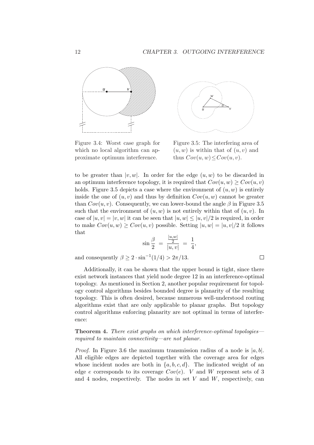

Figure 3.4: Worst case graph for which no local algorithm can approximate optimum interference.



Figure 3.5: The interfering area of  $(u, w)$  is within that of  $(u, v)$  and thus  $Cov(u, w) \leq Cov(u, v)$ .

 $\Box$ 

to be greater than  $|v, w|$ . In order for the edge  $(u, w)$  to be discarded in an optimum interference topology, it is required that  $Cov(u, w) > Cov(u, v)$ holds. Figure 3.5 depicts a case where the environment of  $(u, w)$  is entirely inside the one of  $(u, v)$  and thus by definition  $Cov(u, w)$  cannot be greater than  $Cov(u, v)$ . Consequently, we can lower-bound the angle  $\beta$  in Figure 3.5 such that the environment of  $(u, w)$  is not entirely within that of  $(u, v)$ . In case of  $|u, v| = |v, w|$  it can be seen that  $|u, w| \leq |u, v|/2$  is required, in order to make  $Cov(u, w) > Cov(u, v)$  possible. Setting  $|u, w| = |u, v|/2$  it follows that

$$
\sin\frac{\beta}{2} = \frac{\frac{|u,w|}{2}}{|u,v|} = \frac{1}{4},
$$

and consequently  $\beta \geq 2 \cdot \sin^{-1}(1/4) > 2\pi/13$ .

Additionally, it can be shown that the upper bound is tight, since there exist network instances that yield node degree 12 in an interference-optimal topology. As mentioned in Section 2, another popular requirement for topology control algorithms besides bounded degree is planarity of the resulting topology. This is often desired, because numerous well-understood routing algorithms exist that are only applicable to planar graphs. But topology control algorithms enforcing planarity are not optimal in terms of interference:

Theorem 4. There exist graphs on which interference-optimal topologies required to maintain connectivity—are not planar.

*Proof.* In Figure 3.6 the maximum transmission radius of a node is  $|a, b|$ . All eligible edges are depicted together with the coverage area for edges whose incident nodes are both in  $\{a, b, c, d\}$ . The indicated weight of an edge e corresponds to its coverage  $Cov(e)$ . V and W represent sets of 3 and 4 nodes, respectively. The nodes in set  $V$  and  $W$ , respectively, can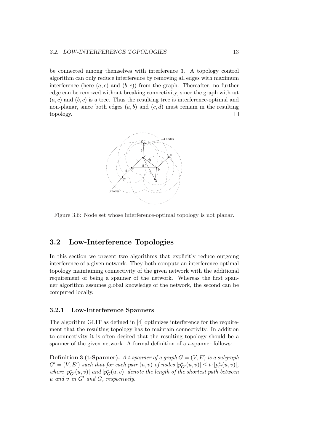#### 3.2. LOW-INTERFERENCE TOPOLOGIES 13

be connected among themselves with interference 3. A topology control algorithm can only reduce interference by removing all edges with maximum interference (here  $(a, c)$  and  $(b, c)$ ) from the graph. Thereafter, no further edge can be removed without breaking connectivity, since the graph without  $(a, c)$  and  $(b, c)$  is a tree. Thus the resulting tree is interference-optimal and non-planar, since both edges  $(a, b)$  and  $(c, d)$  must remain in the resulting topology.  $\Box$ 



Figure 3.6: Node set whose interference-optimal topology is not planar.

### 3.2 Low-Interference Topologies

In this section we present two algorithms that explicitly reduce outgoing interference of a given network. They both compute an interference-optimal topology maintaining connectivity of the given network with the additional requirement of being a spanner of the network. Whereas the first spanner algorithm assumes global knowledge of the network, the second can be computed locally.

#### 3.2.1 Low-Interference Spanners

The algorithm GLIT as defined in [4] optimizes interference for the requirement that the resulting topology has to maintain connectivity. In addition to connectivity it is often desired that the resulting topology should be a spanner of the given network. A formal definition of a t-spanner follows:

**Definition 3 (t-Spanner).** A t-spanner of a graph  $G = (V, E)$  is a subgraph  $G' = (V, E')$  such that for each pair  $(u, v)$  of nodes  $|p_{G'}^*(u, v)| \le t \cdot |p_G^*(u, v)|$ , where  $|p_{G'}^*(u,v)|$  and  $|p_G^*(u,v)|$  denote the length of the shortest path between u and v in  $G'$  and  $G$ , respectively.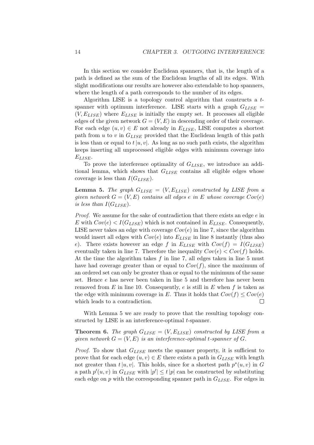In this section we consider Euclidean spanners, that is, the length of a path is defined as the sum of the Euclidean lengths of all its edges. With slight modifications our results are however also extendable to hop spanners, where the length of a path corresponds to the number of its edges.

Algorithm LISE is a topology control algorithm that constructs a tspanner with optimum interference. LISE starts with a graph  $G_{LISE}$  $(V, E_{LISE})$  where  $E_{LISE}$  is initially the empty set. It processes all eligible edges of the given network  $G = (V, E)$  in descending order of their coverage. For each edge  $(u, v) \in E$  not already in  $E_{LISE}$ , LISE computes a shortest path from  $u$  to  $v$  in  $G_{LISE}$  provided that the Euclidean length of this path is less than or equal to  $t|u, v|$ . As long as no such path exists, the algorithm keeps inserting all unprocessed eligible edges with minimum coverage into ELISE.

To prove the interference optimality of  $G_{LISE}$ , we introduce an additional lemma, which shows that  $G_{LISE}$  contains all eligible edges whose coverage is less than  $I(G_{LISE})$ .

**Lemma 5.** The graph  $G_{LISE} = (V, E_{LISE})$  constructed by LISE from a given network  $G = (V, E)$  contains all edges e in E whose coverage  $Cov(e)$ is less than  $I(G_{LISE})$ .

Proof. We assume for the sake of contradiction that there exists an edge e in E with  $Cov(e) < I(G_{LISE})$  which is not contained in  $E_{LISE}$ . Consequently, LISE never takes an edge with coverage  $Cov(e)$  in line 7, since the algorithm would insert all edges with  $Cov(e)$  into  $E_{LISE}$  in line 8 instantly (thus also e). There exists however an edge f in  $E_{LISE}$  with  $Cov(f) = I(G_{LISE})$ eventually taken in line 7. Therefore the inequality  $Cov(e) < Cov(f)$  holds. At the time the algorithm takes  $f$  in line 7, all edges taken in line 5 must have had coverage greater than or equal to  $Cov(f)$ , since the maximum of an ordered set can only be greater than or equal to the minimum of the same set. Hence e has never been taken in line 5 and therefore has never been removed from  $E$  in line 10. Consequently,  $e$  is still in  $E$  when  $f$  is taken as the edge with minimum coverage in E. Thus it holds that  $Cov(f) \leq Cov(e)$ which leads to a contradiction.  $\Box$ 

With Lemma 5 we are ready to prove that the resulting topology constructed by LISE is an interference-optimal *t*-spanner.

**Theorem 6.** The graph  $G_{LISE} = (V, E_{LISE})$  constructed by LISE from a given network  $G = (V, E)$  is an interference-optimal t-spanner of G.

*Proof.* To show that  $G_{LISE}$  meets the spanner property, it is sufficient to prove that for each edge  $(u, v) \in E$  there exists a path in  $G_{LISE}$  with length not greater than  $t |u, v|$ . This holds, since for a shortest path  $p^*(u, v)$  in G a path  $p'(u, v)$  in  $G_{LISE}$  with  $|p'| \le t |p|$  can be constructed by substituting each edge on p with the corresponding spanner path in  $G_{LISE}$ . For edges in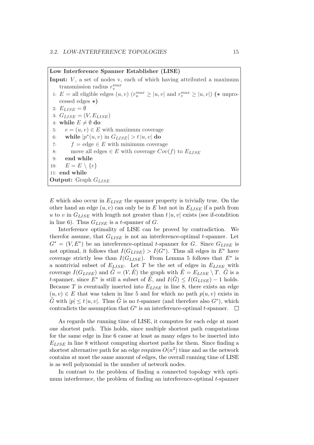Low Interference Spanner Establisher (LISE)

**Input:**  $V$ , a set of nodes v, each of which having attributed a maximum transmission radius  $r_v^{max}$ 1: E = all eligible edges  $(u, v)$   $(r_u^{max} \ge |u, v|)$  and  $r_v^{max} \ge |u, v|$  (\* unprocessed edges ∗) 2:  $E_{LISE} = \emptyset$ 3:  $G_{LISE} = (V, E_{LISE})$ 4: while  $E \neq \emptyset$  do 5:  $e = (u, v) \in E$  with maximum coverage 6: while  $|p^*(u, v)|$  in  $G_{LISE}| > t |u, v|$  do 7:  $f = \text{edge} \in E$  with minimum coverage 8: move all edges  $\in E$  with coverage  $Cov(f)$  to  $E_{LISE}$ 9: end while 10:  $E = E \setminus \{e\}$ 11: end while **Output:** Graph  $G_{LISE}$ 

E which also occur in  $E_{LISE}$  the spanner property is trivially true. On the other hand an edge  $(u, v)$  can only be in E but not in  $E_{LISE}$  if a path from u to v in  $G_{LISE}$  with length not greater than  $t|u, v|$  exists (see if-condition in line 6). Thus  $G_{LISE}$  is a t-spanner of G.

Interference optimality of LISE can be proved by contradiction. We therefor assume, that  $G_{LISE}$  is not an interference-optimal t-spanner. Let  $G^* = (V, E^*)$  be an interference-optimal t-spanner for G. Since  $G_{LISE}$  is not optimal, it follows that  $I(G_{LISE}) > I(G^*)$ . Thus all edges in  $E^*$  have coverage strictly less than  $I(G_{LISE})$ . From Lemma 5 follows that  $E^*$  is a nontrivial subset of  $E_{LISE}$ . Let T be the set of edges in  $E_{LISE}$  with coverage  $I(G_{LISE})$  and  $\tilde{G} = (V, \tilde{E})$  the graph with  $\tilde{E} = E_{LISE} \setminus T$ .  $\tilde{G}$  is a t-spanner, since  $E^*$  is still a subset of  $\tilde{E}$ , and  $I(\tilde{G}) \leq I(G_{LISE}) - 1$  holds. Because  $T$  is eventually inserted into  $E_{LISE}$  in line 8, there exists an edge  $(u, v) \in E$  that was taken in line 5 and for which no path  $p(u, v)$  exists in  $\tilde{G}$  with  $|p| \le t |u, v|$ . Thus  $\tilde{G}$  is no t-spanner (and therefore also  $G^*$ ), which contradicts the assumption that  $G^*$  is an interference-optimal t-spanner.

As regards the running time of LISE, it computes for each edge at most one shortest path. This holds, since multiple shortest path computations for the same edge in line 6 cause at least as many edges to be inserted into  $E_{LISE}$  in line 8 without computing shortest paths for them. Since finding a shortest alternative path for an edge requires  $O(n^2)$  time and as the network contains at most the same amount of edges, the overall running time of LISE is as well polynomial in the number of network nodes.

In contrast to the problem of finding a connected topology with optimum interference, the problem of finding an interference-optimal  $t$ -spanner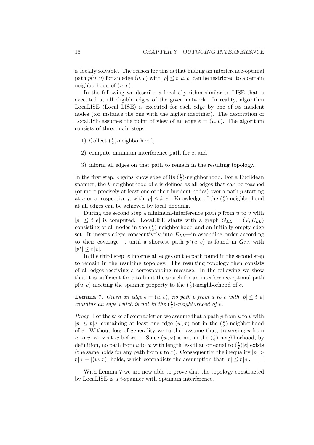is locally solvable. The reason for this is that finding an interference-optimal path  $p(u, v)$  for an edge  $(u, v)$  with  $|p| \le t |u, v|$  can be restricted to a certain neighborhood of  $(u, v)$ .

In the following we describe a local algorithm similar to LISE that is executed at all eligible edges of the given network. In reality, algorithm LocaLISE (Local LISE) is executed for each edge by one of its incident nodes (for instance the one with the higher identifier). The description of LocaLISE assumes the point of view of an edge  $e = (u, v)$ . The algorithm consists of three main steps:

- 1) Collect  $(\frac{t}{2})$ -neighborhood,
- 2) compute minimum interference path for e, and
- 3) inform all edges on that path to remain in the resulting topology.

In the first step,  $e$  gains knowledge of its  $(\frac{t}{2})$ -neighborhood. For a Euclidean spanner, the k-neighborhood of e is defined as all edges that can be reached (or more precisely at least one of their incident nodes) over a path p starting at u or v, respectively, with  $|p| \leq k |e|$ . Knowledge of the  $(\frac{t}{2})$ -neighborhood at all edges can be achieved by local flooding.

During the second step a minimum-interference path  $p$  from  $u$  to  $v$  with  $|p| \leq t |e|$  is computed. LocalISE starts with a graph  $G_{LL} = (V, E_{LL})$ consisting of all nodes in the  $(\frac{t}{2})$ -neighborhood and an initially empty edge set. It inserts edges consecutively into  $E_{LL}$ —in ascending order according to their coverage—, until a shortest path  $p^*(u, v)$  is found in  $G_{LL}$  with  $|p^*| \le t |e|.$ 

In the third step, e informs all edges on the path found in the second step to remain in the resulting topology. The resulting topology then consists of all edges receiving a corresponding message. In the following we show that it is sufficient for e to limit the search for an interference-optimal path  $p(u, v)$  meeting the spanner property to the  $(\frac{t}{2})$ -neighborhood of  $e$ .

**Lemma 7.** Given an edge  $e = (u, v)$ , no path p from u to v with  $|p| \le t |e|$ contains an edge which is not in the  $(\frac{t}{2})$  $(\frac{t}{2})$ -neighborhood of e.

*Proof.* For the sake of contradiction we assume that a path  $p$  from  $u$  to  $v$  with  $|p| \le t |e|$  containing at least one edge  $(w, x)$  not in the  $(\frac{t}{2})$ -neighborhood of  $e$ . Without loss of generality we further assume that, traversing  $p$  from u to v, we visit w before x. Since  $(w, x)$  is not in the  $(\frac{t}{2})$ -neighborhood, by definition, no path from u to w with length less than or equal to  $(\frac{t}{2})|e|$  exists (the same holds for any path from v to x). Consequently, the inequality  $|p| >$  $t|e| + |(w, x)|$  holds, which contradicts the assumption that  $|p| \le t|e|$ .  $\Box$ 

With Lemma 7 we are now able to prove that the topology constructed by LocaLISE is a t-spanner with optimum interference.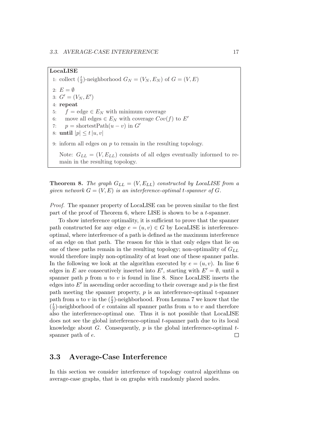#### LocaLISE

1: collect  $(\frac{t}{2})$ -neighborhood  $G_N = (V_N, E_N)$  of  $G = (V, E)$ 2:  $E = \emptyset$ 3:  $G' = (V_N, E')$ 4: repeat  $f = \text{edge} \in E_N$  with minimum coverage 6: move all edges  $\in E_N$  with coverage  $Cov(f)$  to E' 7:  $p = shortestPath(u - v)$  in  $G'$ 8: until  $|p| \le t |u, v|$ 9: inform all edges on  $p$  to remain in the resulting topology. Note:  $G_{LL} = (V, E_{LL})$  consists of all edges eventually informed to remain in the resulting topology.

**Theorem 8.** The graph  $G_{LL} = (V, E_{LL})$  constructed by LocaLISE from a given network  $G = (V, E)$  is an interference-optimal t-spanner of G.

Proof. The spanner property of LocaLISE can be proven similar to the first part of the proof of Theorem 6, where LISE is shown to be a t-spanner.

To show interference optimality, it is sufficient to prove that the spanner path constructed for any edge  $e = (u, v) \in G$  by LocaLISE is interferenceoptimal, where interference of a path is defined as the maximum interference of an edge on that path. The reason for this is that only edges that lie on one of these paths remain in the resulting topology; non-optimality of  $G_{LL}$ would therefore imply non-optimality of at least one of these spanner paths. In the following we look at the algorithm executed by  $e = (u, v)$ . In line 6 edges in E are consecutively inserted into E', starting with  $E' = \emptyset$ , until a spanner path  $p$  from  $u$  to  $v$  is found in line 8. Since LocaLISE inserts the edges into  $E'$  in ascending order according to their coverage and  $p$  is the first path meeting the spanner property,  $p$  is an interference-optimal t-spanner path from u to v in the  $(\frac{t}{2})$ -neighborhood. From Lemma 7 we know that the  $\left(\frac{t}{2}\right)$  $\frac{t}{2}$ )-neighborhood of e contains all spanner paths from u to v and therefore also the interference-optimal one. Thus it is not possible that LocaLISE does not see the global interference-optimal t-spanner path due to its local knowledge about  $G$ . Consequently,  $p$  is the global interference-optimal  $t$ spanner path of e.  $\Box$ 

### 3.3 Average-Case Interference

In this section we consider interference of topology control algorithms on average-case graphs, that is on graphs with randomly placed nodes.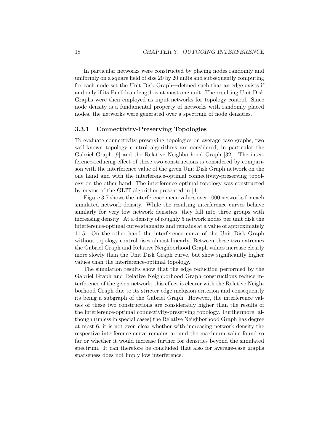In particular networks were constructed by placing nodes randomly and uniformly on a square field of size 20 by 20 units and subsequently computing for each node set the Unit Disk Graph—defined such that an edge exists if and only if its Euclidean length is at most one unit. The resulting Unit Disk Graphs were then employed as input networks for topology control. Since node density is a fundamental property of networks with randomly placed nodes, the networks were generated over a spectrum of node densities.

#### 3.3.1 Connectivity-Preserving Topologies

To evaluate connectivity-preserving topologies on average-case graphs, two well-known topology control algorithms are considered, in particular the Gabriel Graph [9] and the Relative Neighborhood Graph [32]. The interference-reducing effect of these two constructions is considered by comparison with the interference value of the given Unit Disk Graph network on the one hand and with the interference-optimal connectivity-preserving topology on the other hand. The interference-optimal topology was constructed by means of the GLIT algorithm presented in [4].

Figure 3.7 shows the interference mean values over 1000 networks for each simulated network density. While the resulting interference curves behave similarly for very low network densities, they fall into three groups with increasing density: At a density of roughly 5 network nodes per unit disk the interference-optimal curve stagnates and remains at a value of approximately 11.5. On the other hand the interference curve of the Unit Disk Graph without topology control rises almost linearly. Between these two extremes the Gabriel Graph and Relative Neighborhood Graph values increase clearly more slowly than the Unit Disk Graph curve, but show significantly higher values than the interference-optimal topology.

The simulation results show that the edge reduction performed by the Gabriel Graph and Relative Neighborhood Graph constructions reduce interference of the given network; this effect is clearer with the Relative Neighborhood Graph due to its stricter edge inclusion criterion and consequently its being a subgraph of the Gabriel Graph. However, the interference values of these two constructions are considerably higher than the results of the interference-optimal connectivity-preserving topology. Furthermore, although (unless in special cases) the Relative Neighborhood Graph has degree at most 6, it is not even clear whether with increasing network density the respective interference curve remains around the maximum value found so far or whether it would increase further for densities beyond the simulated spectrum. It can therefore be concluded that also for average-case graphs sparseness does not imply low interference.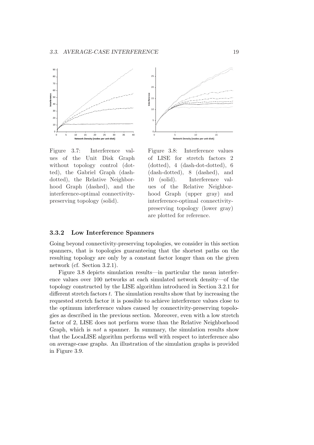



Figure 3.7: Interference values of the Unit Disk Graph without topology control (dotted), the Gabriel Graph (dashdotted), the Relative Neighborhood Graph (dashed), and the interference-optimal connectivitypreserving topology (solid).

Figure 3.8: Interference values of LISE for stretch factors 2 (dotted), 4 (dash-dot-dotted), 6 (dash-dotted), 8 (dashed), and 10 (solid). Interference values of the Relative Neighborhood Graph (upper gray) and interference-optimal connectivitypreserving topology (lower gray) are plotted for reference.

#### 3.3.2 Low Interference Spanners

Going beyond connectivity-preserving topologies, we consider in this section spanners, that is topologies guaranteeing that the shortest paths on the resulting topology are only by a constant factor longer than on the given network (cf. Section 3.2.1).

Figure 3.8 depicts simulation results—in particular the mean interference values over 100 networks at each simulated network density—of the topology constructed by the LISE algorithm introduced in Section 3.2.1 for different stretch factors t. The simulation results show that by increasing the requested stretch factor it is possible to achieve interference values close to the optimum interference values caused by connectivity-preserving topologies as described in the previous section. Moreover, even with a low stretch factor of 2, LISE does not perform worse than the Relative Neighborhood Graph, which is not a spanner. In summary, the simulation results show that the LocaLISE algorithm performs well with respect to interference also on average-case graphs. An illustration of the simulation graphs is provided in Figure 3.9.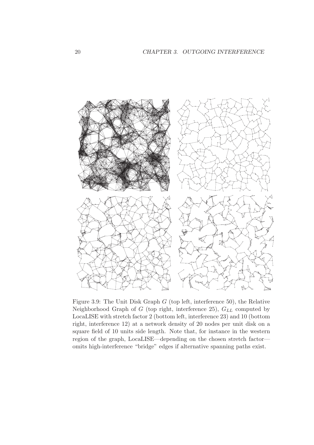

Figure 3.9: The Unit Disk Graph  $G$  (top left, interference 50), the Relative Neighborhood Graph of  $G$  (top right, interference 25),  $G_{LL}$  computed by LocaLISE with stretch factor 2 (bottom left, interference 23) and 10 (bottom right, interference 12) at a network density of 20 nodes per unit disk on a square field of 10 units side length. Note that, for instance in the western region of the graph, LocaLISE—depending on the chosen stretch factor omits high-interference "bridge" edges if alternative spanning paths exist.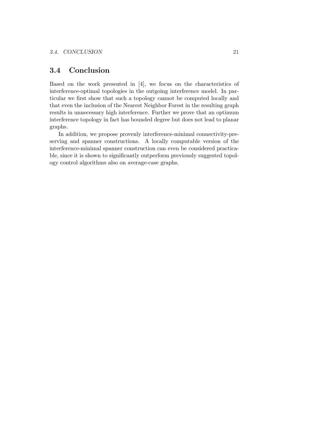## 3.4 Conclusion

Based on the work presented in [4], we focus on the characteristics of interference-optimal topologies in the outgoing interference model. In particular we first show that such a topology cannot be computed locally and that even the inclusion of the Nearest Neighbor Forest in the resulting graph results in unnecessary high interference. Further we prove that an optimum interference topology in fact has bounded degree but does not lead to planar graphs.

In addition, we propose provenly interference-minimal connectivity-preserving and spanner constructions. A locally computable version of the interference-minimal spanner construction can even be considered practicable, since it is shown to significantly outperform previously suggested topology control algorithms also on average-case graphs.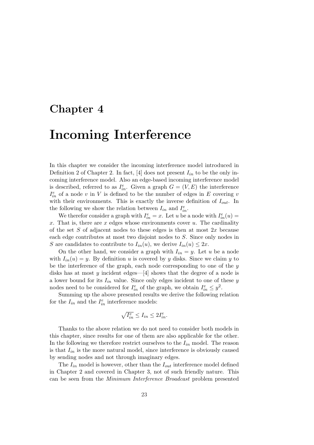# Chapter 4

# Incoming Interference

In this chapter we consider the incoming interference model introduced in Definition 2 of Chapter 2. In fact, [4] does not present  $I_{in}$  to be the only incoming interference model. Also an edge-based incoming interference model is described, referred to as  $I_{in}^e$ . Given a graph  $G = (V, E)$  the interference  $I_{in}^e$  of a node v in V is defined to be the number of edges in E covering v with their environments. This is exactly the inverse definition of  $I_{out}$ . In the following we show the relation between  $I_{in}$  and  $I_{in}^e$ .

We therefor consider a graph with  $I_{in}^e = x$ . Let u be a node with  $I_{in}^e(u) =$ x. That is, there are x edges whose environments cover  $u$ . The cardinality of the set  $S$  of adjacent nodes to these edges is then at most  $2x$  because each edge contributes at most two disjoint nodes to S. Since only nodes in S are candidates to contribute to  $I_{in}(u)$ , we derive  $I_{in}(u) \leq 2x$ .

On the other hand, we consider a graph with  $I_{in} = y$ . Let u be a node with  $I_{in}(u) = y$ . By definition u is covered by y disks. Since we claim y to be the interference of the graph, each node corresponding to one of the  $y$ disks has at most  $y$  incident edges—[4] shows that the degree of a node is a lower bound for its  $I_{in}$  value. Since only edges incident to one of these y nodes need to be considered for  $I_{in}^e$  of the graph, we obtain  $I_{in}^e \leq y^2$ .

Summing up the above presented results we derive the following relation for the  $I_{in}$  and the  $I_{in}^e$  interference models:

$$
\sqrt{I_{in}^e} \le I_{in} \le 2I_{in}^e.
$$

Thanks to the above relation we do not need to consider both models in this chapter, since results for one of them are also applicable for the other. In the following we therefore restrict ourselves to the  $I_{in}$  model. The reason is that  $I_{in}$  is the more natural model, since interference is obviously caused by sending nodes and not through imaginary edges.

The  $I_{in}$  model is however, other than the  $I_{out}$  interference model defined in Chapter 2 and covered in Chapter 3, not of such friendly nature. This can be seen from the Minimum Interference Broadcast problem presented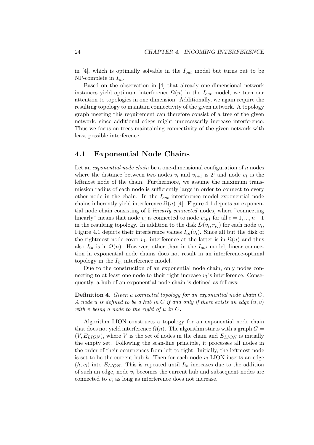in [4], which is optimally solvable in the  $I_{out}$  model but turns out to be NP-complete in  $I_{in}$ .

Based on the observation in [4] that already one-dimensional network instances yield optimum interference  $\Omega(n)$  in the  $I_{out}$  model, we turn our attention to topologies in one dimension. Additionally, we again require the resulting topology to maintain connectivity of the given network. A topology graph meeting this requirement can therefore consist of a tree of the given network, since additional edges might unnecessarily increase interference. Thus we focus on trees maintaining connectivity of the given network with least possible interference.

### 4.1 Exponential Node Chains

Let an *exponential node chain* be a one-dimensional configuration of  $n$  nodes where the distance between two nodes  $v_i$  and  $v_{i+1}$  is  $2^i$  and node  $v_1$  is the leftmost node of the chain. Furthermore, we assume the maximum transmission radius of each node is sufficiently large in order to connect to every other node in the chain. In the  $I_{out}$  interference model exponential node chains inherently yield interference  $\Omega(n)$  [4]. Figure 4.1 depicts an exponential node chain consisting of 5 linearly connected nodes, where "connecting linearly" means that node  $v_i$  is connected to node  $v_{i+1}$  for all  $i = 1, ..., n-1$ in the resulting topology. In addition to the disk  $D(v_i, r_{v_i})$  for each node  $v_i$ , Figure 4.1 depicts their interference values  $I_{in}(v_i)$ . Since all but the disk of the rightmost node cover  $v_1$ , interference at the latter is in  $\Omega(n)$  and thus also  $I_{in}$  is in  $\Omega(n)$ . However, other than in the  $I_{out}$  model, linear connection in exponential node chains does not result in an interference-optimal topology in the  $I_{in}$  interference model.

Due to the construction of an exponential node chain, only nodes connecting to at least one node to their right increase  $v_1$ 's interference. Consequently, a hub of an exponential node chain is defined as follows:

Definition 4. Given a connected topology for an exponential node chain C. A node u is defined to be a hub in C if and only if there exists an edge  $(u, v)$ with v being a node to the right of  $u$  in  $C$ .

Algorithm LION constructs a topology for an exponential node chain that does not yield interference  $\Omega(n)$ . The algorithm starts with a graph  $G =$  $(V, E_{LION})$ , where V is the set of nodes in the chain and  $E_{LION}$  is initially the empty set. Following the scan-line principle, it processes all nodes in the order of their occurrences from left to right. Initially, the leftmost node is set to be the current hub h. Then for each node  $v_i$  LION inserts an edge  $(h, v_i)$  into  $E_{LION}$ . This is repeated until  $I_{in}$  increases due to the addition of such an edge, node  $v_i$  becomes the current hub and subsequent nodes are connected to  $v_i$  as long as interference does not increase.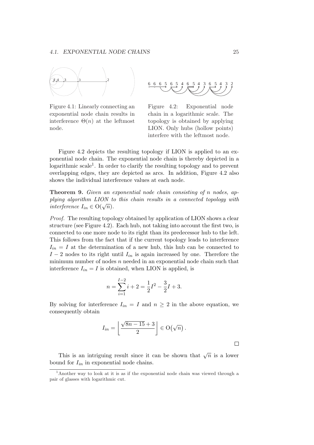

Figure 4.1: Linearly connecting an exponential node chain results in interference  $\Theta(n)$  at the leftmost node.

6 6 6 5 6 5 4 6 5 4 3 6 5 4 3 2

Figure 4.2: Exponential node chain in a logarithmic scale. The topology is obtained by applying LION. Only hubs (hollow points) interfere with the leftmost node.

Figure 4.2 depicts the resulting topology if LION is applied to an exponential node chain. The exponential node chain is thereby depicted in a logarithmic scale<sup>1</sup>. In order to clarify the resulting topology and to prevent overlapping edges, they are depicted as arcs. In addition, Figure 4.2 also shows the individual interference values at each node.

Theorem 9. Given an exponential node chain consisting of n nodes, applying algorithm LION to this chain results in a connected topology with ptying algorithm ETON to<br>interference  $I_{in} \in O(\sqrt{n})$ .

Proof. The resulting topology obtained by application of LION shows a clear structure (see Figure 4.2). Each hub, not taking into account the first two, is connected to one more node to its right than its predecessor hub to the left. This follows from the fact that if the current topology leads to interference  $I_{in} = I$  at the determination of a new hub, this hub can be connected to  $I-2$  nodes to its right until  $I_{in}$  is again increased by one. Therefore the minimum number of nodes  $n$  needed in an exponential node chain such that interference  $I_{in} = I$  is obtained, when LION is applied, is

$$
n = \sum_{i=1}^{I-2} i + 2 = \frac{1}{2}I^2 - \frac{3}{2}I + 3.
$$

By solving for interference  $I_{in} = I$  and  $n \geq 2$  in the above equation, we consequently obtain

$$
I_{in} = \left\lfloor \frac{\sqrt{8n-15}+3}{2} \right\rfloor \in \mathrm{O}(\sqrt{n}).
$$

This is an intriguing result since it can be shown that  $\sqrt{n}$  is a lower bound for  $I_{in}$  in exponential node chains.

 $\Box$ 

<sup>&</sup>lt;sup>1</sup>Another way to look at it is as if the exponential node chain was viewed through a pair of glasses with logarithmic cut.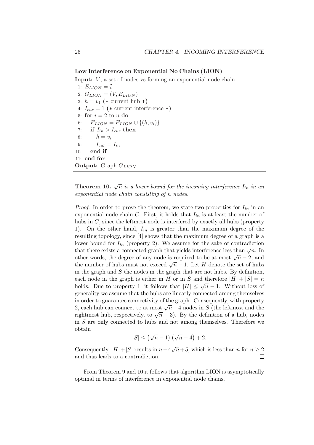Low Interference on Exponential No Chains (LION)

**Input:**  $V$ , a set of nodes vs forming an exponential node chain 1:  $E_{LION} = \emptyset$ 2:  $G_{LION} = (V, E_{LION})$ 3:  $h = v_1$  (\* current hub \*) 4:  $I_{cur} = 1$  (\* current interference \*) 5: for  $i = 2$  to n do 6:  $E_{LION} = E_{LION} \cup \{(h, v_i)\}$ 7: if  $I_{in} > I_{cur}$  then 8:  $h = v_i$ 9:  $I_{cur} = I_{in}$ 10: end if 11: end for **Output:** Graph  $G_{LION}$ 

**Theorem 10.**  $\sqrt{n}$  is a lower bound for the incoming interference  $I_{in}$  in an exponential node chain consisting of n nodes.

*Proof.* In order to prove the theorem, we state two properties for  $I_{in}$  in an exponential node chain C. First, it holds that  $I_{in}$  is at least the number of hubs in C, since the leftmost node is interfered by exactly all hubs (property 1). On the other hand,  $I_{in}$  is greater than the maximum degree of the resulting topology, since [4] shows that the maximum degree of a graph is a lower bound for  $I_{in}$  (property 2). We assume for the sake of contradiction that there exists a connected graph that yields interference less than  $\sqrt{n}$ . In other words, the degree of any node is required to be at most  $\sqrt{n} - 2$ , and the number of hubs must not exceed  $\sqrt{n} - 1$ . Let H denote the set of hubs in the graph and  $S$  the nodes in the graph that are not hubs. By definition, each node in the graph is either in H or in S and therefore  $|H| + |S| = n$ each node in the graph is either in H or in B and therefore  $|H| + |S| = n$ <br>holds. Due to property 1, it follows that  $|H| \leq \sqrt{n} - 1$ . Without loss of generality we assume that the hubs are linearly connected among themselves in order to guarantee connectivity of the graph. Consequently, with property m order to guarantee connectivity of the graph. Consequently, with property 2, each hub can connect to at most  $\sqrt{n}-4$  nodes in S (the leftmost and the  $\chi h = 4$  hours in b (the leftmost and the rightmost hub, respectively, to  $\sqrt{n} - 3$ ). By the definition of a hub, nodes in S are only connected to hubs and not among themselves. Therefore we obtain  $\sqrt{7}$ ¢

$$
|S| \le (\sqrt{n}-1) (\sqrt{n}-4) + 2.
$$

Consequently,  $|H|+|S|$  results in  $n-4\sqrt{n}+5$ , which is less than n for  $n \geq 2$ and thus leads to a contradiction.  $\Box$ 

From Theorem 9 and 10 it follows that algorithm LION is asymptotically optimal in terms of interference in exponential node chains.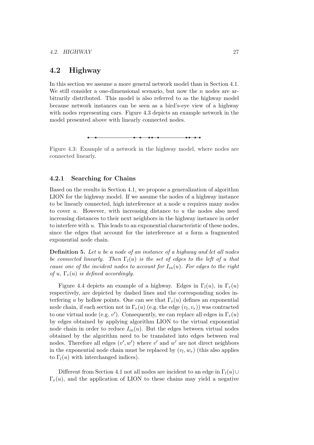### 4.2 Highway

In this section we assume a more general network model than in Section 4.1. We still consider a one-dimensional scenario, but now the  $n$  nodes are arbitrarily distributed. This model is also referred to as the highway model because network instances can be seen as a bird's-eye view of a highway with nodes representing cars. Figure 4.3 depicts an example network in the model presented above with linearly connected nodes.

Figure 4.3: Example of a network in the highway model, where nodes are connected linearly.

### 4.2.1 Searching for Chains

Based on the results in Section 4.1, we propose a generalization of algorithm LION for the highway model. If we assume the nodes of a highway instance to be linearly connected, high interference at a node  $u$  requires many nodes to cover  $u$ . However, with increasing distance to  $u$  the nodes also need increasing distances to their next neighbors in the highway instance in order to interfere with u. This leads to an exponential characteristic of these nodes, since the edges that account for the interference at  $u$  form a fragmented exponential node chain.

Definition 5. Let u be a node of an instance of a highway and let all nodes be connected linearly. Then  $\Gamma_l(u)$  is the set of edges to the left of u that cause one of the incident nodes to account for  $I_{in}(u)$ . For edges to the right of u,  $\Gamma_r(u)$  is defined accordingly.

Figure 4.4 depicts an example of a highway. Edges in  $\Gamma_l(u)$ , in  $\Gamma_r(u)$ respectively, are depicted by dashed lines and the corresponding nodes interfering u by hollow points. One can see that  $\Gamma_r(u)$  defines an exponential node chain, if each section not in  $\Gamma_r(u)$  (e.g. the edge  $(v_l, v_r)$ ) was contracted to one virtual node (e.g.  $v'$ ). Consequently, we can replace all edges in  $\Gamma_r(u)$ by edges obtained by applying algorithm LION to the virtual exponential node chain in order to reduce  $I_{in}(u)$ . But the edges between virtual nodes obtained by the algorithm need to be translated into edges between real nodes. Therefore all edges  $(v', w')$  where  $v'$  and  $w'$  are not direct neighbors in the exponential node chain must be replaced by  $(v_l, w_r)$  (this also applies to  $\Gamma_l(u)$  with interchanged indices).

Different from Section 4.1 not all nodes are incident to an edge in  $\Gamma_l(u) \cup$  $\Gamma_r(u)$ , and the application of LION to these chains may yield a negative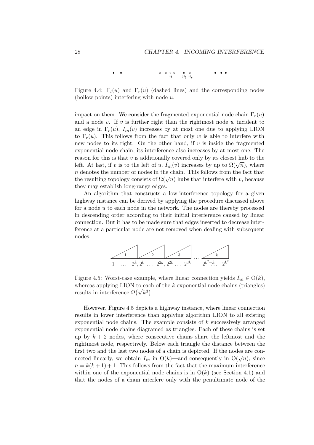

Figure 4.4:  $\Gamma_l(u)$  and  $\Gamma_r(u)$  (dashed lines) and the corresponding nodes (hollow points) interfering with node u.

impact on them. We consider the fragmented exponential node chain  $\Gamma_r(u)$ and a node  $v$ . If  $v$  is further right than the rightmost node  $w$  incident to an edge in  $\Gamma_r(u)$ ,  $I_{in}(v)$  increases by at most one due to applying LION to  $\Gamma_r(u)$ . This follows from the fact that only w is able to interfere with new nodes to its right. On the other hand, if  $v$  is inside the fragmented exponential node chain, its interference also increases by at most one. The reason for this is that  $v$  is additionally covered only by its closest hub to the leason for this is that v is additionally covered only by its closest hub to the left. At last, if v is to the left of u,  $I_{in}(v)$  increases by up to  $\Omega(\sqrt{n})$ , where n denotes the number of nodes in the chain. This follows from the fact that *n* denotes the number of hodes in the chain. This ionows from the fact that the resulting topology consists of  $\Omega(\sqrt{n})$  hubs that interfere with v, because they may establish long-range edges.

An algorithm that constructs a low-interference topology for a given highway instance can be derived by applying the procedure discussed above for a node  $u$  to each node in the network. The nodes are thereby processed in descending order according to their initial interference caused by linear connection. But it has to be made sure that edges inserted to decrease interference at a particular node are not removed when dealing with subsequent nodes.



Figure 4.5: Worst-case example, where linear connection yields  $I_{in} \in O(k)$ , whereas applying LION to each of the k exponential node chains (triangles) whereas applying LION to each<br>results in interference  $\Omega(\sqrt{k^3})$ .

However, Figure 4.5 depicts a highway instance, where linear connection results in lower interference than applying algorithm LION to all existing exponential node chains. The example consists of  $k$  successively arranged exponential node chains diagramed as triangles. Each of these chains is set up by  $k + 2$  nodes, where consecutive chains share the leftmost and the rightmost node, respectively. Below each triangle the distance between the first two and the last two nodes of a chain is depicted. If the nodes are coninst two and the rast two nodes of a chain is depicted. If the hodes are con-<br>nected linearly, we obtain  $I_{in}$  in  $O(k)$ —and consequently in  $O(\sqrt{n})$ , since  $n = k(k+1) + 1$ . This follows from the fact that the maximum interference within one of the exponential node chains is in  $O(k)$  (see Section 4.1) and that the nodes of a chain interfere only with the penultimate node of the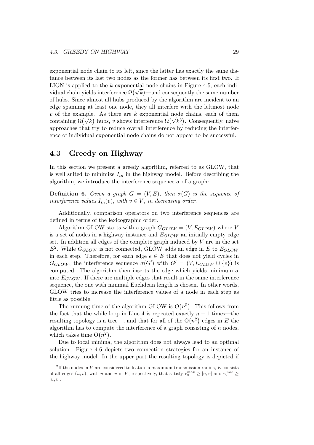exponential node chain to its left, since the latter has exactly the same distance between its last two nodes as the former has between its first two. If LION is applied to the k exponential node chains in Figure 4.5, each indi-LION is applied to the k exponential node chains in Figure 4.5, each individual chain yields interference  $\Omega(\sqrt{k})$ —and consequently the same number of hubs. Since almost all hubs produced by the algorithm are incident to an edge spanning at least one node, they all interfere with the leftmost node v of the example. As there are k exponential node chains, each of them v of the example. As there are k exponential node chains, each of them<br>containing  $\Omega(\sqrt{k})$  hubs, v shows interference  $\Omega(\sqrt{k^3})$ . Consequently, naive approaches that try to reduce overall interference by reducing the interference of individual exponential node chains do not appear to be successful.

### 4.3 Greedy on Highway

In this section we present a greedy algorithm, referred to as GLOW, that is well suited to minimize  $I_{in}$  in the highway model. Before describing the algorithm, we introduce the interference sequence  $\sigma$  of a graph:

**Definition 6.** Given a graph  $G = (V, E)$ , then  $\sigma(G)$  is the sequence of interference values  $I_{in}(v)$ , with  $v \in V$ , in decreasing order.

Additionally, comparison operators on two interference sequences are defined in terms of the lexicographic order.

Algorithm GLOW starts with a graph  $G_{GLOW} = (V, E_{GLOW})$  where V is a set of nodes in a highway instance and  $E_{GLOW}$  an initially empty edge set. In addition all edges of the complete graph induced by  $V$  are in the set  $E^2$ . While  $G_{GLOW}$  is not connected, GLOW adds an edge in E to  $E_{GLOW}$ in each step. Therefore, for each edge  $e \in E$  that does not yield cycles in  $G_{GLOW}$ , the interference sequence  $\sigma(G')$  with  $G' = (V, E_{GLOW} \cup \{e\})$  is computed. The algorithm then inserts the edge which yields minimum  $\sigma$ into  $E_{GLOW}$ . If there are multiple edges that result in the same interference sequence, the one with minimal Euclidean length is chosen. In other words, GLOW tries to increase the interference values of a node in each step as little as possible.

The running time of the algorithm GLOW is  $O(n^5)$ . This follows from the fact that the while loop in Line 4 is repeated exactly  $n-1$  times—the the fact that the while loop in Line 4 is repeated exactly  $n-1$  times—the resulting topology is a tree—, and that for all of the  $O(n^2)$  edges in E the algorithm has to compute the interference of a graph consisting of n nodes, algorithm has to comput<br>which takes time  $O(n^2)$ .

Due to local minima, the algorithm does not always lead to an optimal solution. Figure 4.6 depicts two connection strategies for an instance of the highway model. In the upper part the resulting topology is depicted if

<sup>&</sup>lt;sup>2</sup>If the nodes in V are considered to feature a maximum transmission radius, E consists of all edges  $(u, v)$ , with u and v in V, respectively, that satisfy  $r_u^{max} \ge |u, v|$  and  $r_v^{max} \ge$  $|u, v|$ .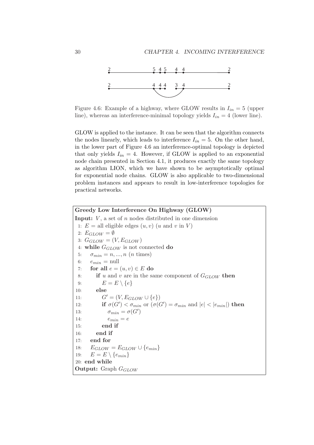

Figure 4.6: Example of a highway, where GLOW results in  $I_{in} = 5$  (upper line), whereas an interference-minimal topology yields  $I_{in} = 4$  (lower line).

GLOW is applied to the instance. It can be seen that the algorithm connects the nodes linearly, which leads to interference  $I_{in} = 5$ . On the other hand, in the lower part of Figure 4.6 an interference-optimal topology is depicted that only yields  $I_{in} = 4$ . However, if GLOW is applied to an exponential node chain presented in Section 4.1, it produces exactly the same topology as algorithm LION, which we have shown to be asymptotically optimal for exponential node chains. GLOW is also applicable to two-dimensional problem instances and appears to result in low-interference topologies for practical networks.

Greedy Low Interference On Highway (GLOW) **Input:**  $V$ , a set of  $n$  nodes distributed in one dimension 1:  $E =$  all eligible edges  $(u, v)$   $(u$  and  $v$  in  $V$ ) 2:  $E_{GLOW} = \emptyset$ 3:  $G_{GLOW} = (V, E_{GLOW})$ 4: while  $G_{GLOW}$  is not connected do 5:  $\sigma_{min} = n, ..., n \text{ (}n \text{ times)}$ 6:  $e_{min}$  = null 7: for all  $e = (u, v) \in E$  do 8: if u and v are in the same component of  $G_{GLOW}$  then 9:  $E = E \setminus \{e\}$ 10: else 11:  $G' = (V, E_{GLOW} \cup \{e\})$ 12: **if**  $\sigma(G') < \sigma_{min}$  or  $(\sigma(G') = \sigma_{min}$  and  $|e| < |e_{min}|$ ) then 13:  $\sigma_{min} = \sigma(G')$ 14:  $e_{min} = e$ 15: end if 16: end if 17: end for 18:  $E_{GLOW} = E_{GLOW} \cup \{e_{min}\}$ 19:  $E = E \setminus \{e_{min}\}\$ 20: end while **Output:** Graph  $G_{GLOW}$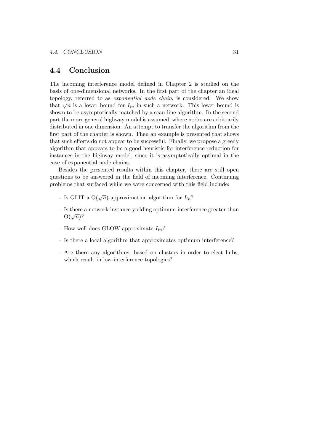### 4.4 Conclusion

The incoming interference model defined in Chapter 2 is studied on the basis of one-dimensional networks. In the first part of the chapter an ideal topology, referred to as exponential node chain, is considered. We show topology, referred to as *exponential node chain*, is considered. We show that  $\sqrt{n}$  is a lower bound for  $I_{in}$  in such a network. This lower bound is shown to be asymptotically matched by a scan-line algorithm. In the second part the more general highway model is assumed, where nodes are arbitrarily distributed in one dimension. An attempt to transfer the algorithm from the first part of the chapter is shown. Then an example is presented that shows that such efforts do not appear to be successful. Finally, we propose a greedy algorithm that appears to be a good heuristic for interference reduction for instances in the highway model, since it is asymptotically optimal in the case of exponential node chains.

Besides the presented results within this chapter, there are still open questions to be answered in the field of incoming interference. Continuing problems that surfaced while we were concerned with this field include:

- Is GLIT a  $O(\sqrt{n})$ -approximation algorithm for  $I_{in}$ ?
- Is there a network instance yielding optimum interference greater than is there<br>O( $\sqrt{n}$ )?
- How well does GLOW approximate  $I_{in}$ ?
- Is there a local algorithm that approximates optimum interference?
- Are there any algorithms, based on clusters in order to elect hubs, which result in low-interference topologies?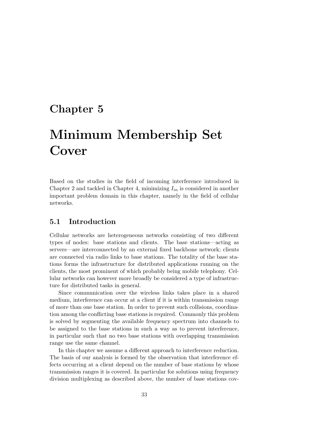# Chapter 5

# Minimum Membership Set Cover

Based on the studies in the field of incoming interference introduced in Chapter 2 and tackled in Chapter 4, minimizing  $I_{in}$  is considered in another important problem domain in this chapter, namely in the field of cellular networks.

### 5.1 Introduction

Cellular networks are heterogeneous networks consisting of two different types of nodes: base stations and clients. The base stations—acting as servers—are interconnected by an external fixed backbone network; clients are connected via radio links to base stations. The totality of the base stations forms the infrastructure for distributed applications running on the clients, the most prominent of which probably being mobile telephony. Cellular networks can however more broadly be considered a type of infrastructure for distributed tasks in general.

Since communication over the wireless links takes place in a shared medium, interference can occur at a client if it is within transmission range of more than one base station. In order to prevent such collisions, coordination among the conflicting base stations is required. Commonly this problem is solved by segmenting the available frequency spectrum into channels to be assigned to the base stations in such a way as to prevent interference, in particular such that no two base stations with overlapping transmission range use the same channel.

In this chapter we assume a different approach to interference reduction. The basis of our analysis is formed by the observation that interference effects occurring at a client depend on the number of base stations by whose transmission ranges it is covered. In particular for solutions using frequency division multiplexing as described above, the number of base stations cov-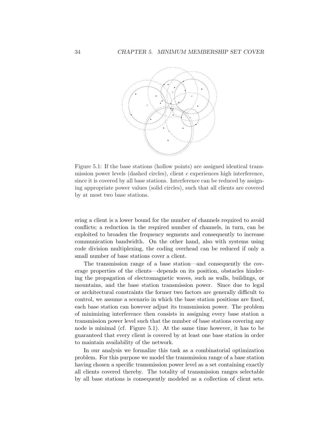

Figure 5.1: If the base stations (hollow points) are assigned identical transmission power levels (dashed circles), client  $c$  experiences high interference, since it is covered by all base stations. Interference can be reduced by assigning appropriate power values (solid circles), such that all clients are covered by at most two base stations.

ering a client is a lower bound for the number of channels required to avoid conflicts; a reduction in the required number of channels, in turn, can be exploited to broaden the frequency segments and consequently to increase communication bandwidth. On the other hand, also with systems using code division multiplexing, the coding overhead can be reduced if only a small number of base stations cover a client.

The transmission range of a base station—and consequently the coverage properties of the clients—depends on its position, obstacles hindering the propagation of electromagnetic waves, such as walls, buildings, or mountains, and the base station transmission power. Since due to legal or architectural constraints the former two factors are generally difficult to control, we assume a scenario in which the base station positions are fixed, each base station can however adjust its transmission power. The problem of minimizing interference then consists in assigning every base station a transmission power level such that the number of base stations covering any node is minimal (cf. Figure 5.1). At the same time however, it has to be guaranteed that every client is covered by at least one base station in order to maintain availability of the network.

In our analysis we formalize this task as a combinatorial optimization problem. For this purpose we model the transmission range of a base station having chosen a specific transmission power level as a set containing exactly all clients covered thereby. The totality of transmission ranges selectable by all base stations is consequently modeled as a collection of client sets.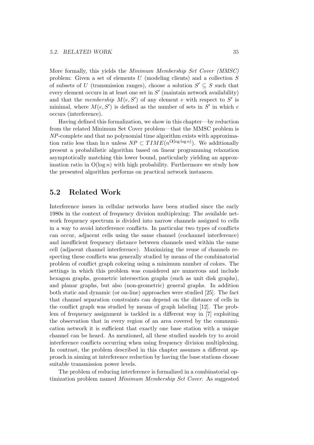More formally, this yields the Minimum Membership Set Cover (MMSC) problem: Given a set of elements U (modeling clients) and a collection S of subsets of U (transmission ranges), choose a solution  $S' \subseteq S$  such that every element occurs in at least one set in  $S'$  (maintain network availability) and that the *membership*  $M(e, S')$  of any element e with respect to S' is minimal, where  $M(e, S')$  is defined as the number of sets in S' in which e occurs (interference).

Having defined this formalization, we show in this chapter—by reduction from the related Minimum Set Cover problem—that the MMSC problem is NP-complete and that no polynomial time algorithm exists with approximation ratio less than  $\ln n$  unless  $NP \subset TIME(n^{\text{O}(\log \log n)})$ . We additionally present a probabilistic algorithm based on linear programming relaxation asymptotically matching this lower bound, particularly yielding an approximation ratio in  $O(\log n)$  with high probability. Furthermore we study how the presented algorithm performs on practical network instances.

### 5.2 Related Work

Interference issues in cellular networks have been studied since the early 1980s in the context of frequency division multiplexing: The available network frequency spectrum is divided into narrow channels assigned to cells in a way to avoid interference conflicts. In particular two types of conflicts can occur, adjacent cells using the same channel (cochannel interference) and insufficient frequency distance between channels used within the same cell (adjacent channel interference). Maximizing the reuse of channels respecting these conflicts was generally studied by means of the combinatorial problem of conflict graph coloring using a minimum number of colors. The settings in which this problem was considered are numerous and include hexagon graphs, geometric intersection graphs (such as unit disk graphs), and planar graphs, but also (non-geometric) general graphs. In addition both static and dynamic (or on-line) approaches were studied [25]. The fact that channel separation constraints can depend on the distance of cells in the conflict graph was studied by means of graph labeling [12]. The problem of frequency assignment is tackled in a different way in [7] exploiting the observation that in every region of an area covered by the communication network it is sufficient that exactly one base station with a unique channel can be heard. As mentioned, all these studied models try to avoid interference conflicts occurring when using frequency division multiplexing. In contrast, the problem described in this chapter assumes a different approach in aiming at interference reduction by having the base stations choose suitable transmission power levels.

The problem of reducing interference is formalized in a combinatorial optimization problem named Minimum Membership Set Cover. As suggested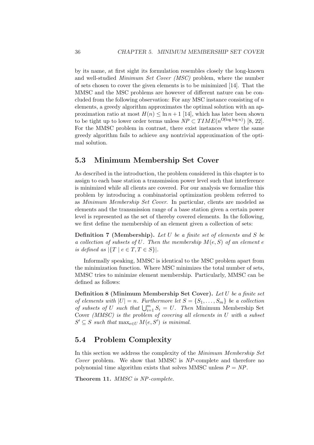by its name, at first sight its formulation resembles closely the long-known and well-studied Minimum Set Cover (MSC) problem, where the number of sets chosen to cover the given elements is to be minimized [14]. That the MMSC and the MSC problems are however of different nature can be concluded from the following observation: For any MSC instance consisting of  $n$ elements, a greedy algorithm approximates the optimal solution with an approximation ratio at most  $H(n) \leq \ln n + 1$  [14], which has later been shown to be tight up to lower order terms unless  $NP \subset TIME(n^{O(\log \log n)})$  [8, 22]. For the MMSC problem in contrast, there exist instances where the same greedy algorithm fails to achieve any nontrivial approximation of the optimal solution.

### 5.3 Minimum Membership Set Cover

As described in the introduction, the problem considered in this chapter is to assign to each base station a transmission power level such that interference is minimized while all clients are covered. For our analysis we formalize this problem by introducing a combinatorial optimization problem referred to as Minimum Membership Set Cover. In particular, clients are modeled as elements and the transmission range of a base station given a certain power level is represented as the set of thereby covered elements. In the following, we first define the membership of an element given a collection of sets:

Definition 7 (Membership). Let U be a finite set of elements and S be a collection of subsets of U. Then the membership  $M(e, S)$  of an element e is defined as  $|\{T \mid e \in T, T \in S\}|$ .

Informally speaking, MMSC is identical to the MSC problem apart from the minimization function. Where MSC minimizes the total number of sets, MMSC tries to minimize element membership. Particularly, MMSC can be defined as follows:

Definition 8 (Minimum Membership Set Cover). Let U be a finite set of elements with  $|U| = n$ . Furthermore let  $S = \{S_1, \ldots, S_m\}$  be a collection of subsets of U such that  $\bigcup_{i=1}^{m} S_i = U$ . Then Minimum Membership Set Cover (MMSC) is the problem of covering all elements in U with a subset  $S' \subseteq S$  such that  $\max_{e \in U} M(e, S')$  is minimal.

### 5.4 Problem Complexity

In this section we address the complexity of the Minimum Membership Set Cover problem. We show that MMSC is NP-complete and therefore no polynomial time algorithm exists that solves MMSC unless  $P = NP$ .

Theorem 11. MMSC is NP-complete.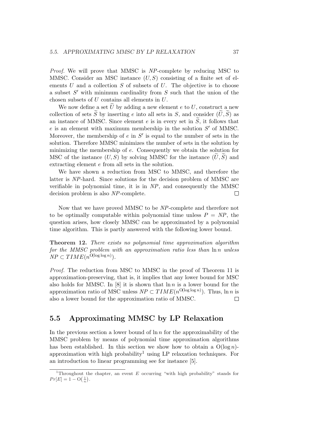Proof. We will prove that MMSC is NP-complete by reducing MSC to MMSC. Consider an MSC instance  $(U, S)$  consisting of a finite set of elements  $U$  and a collection  $S$  of subsets of  $U$ . The objective is to choose a subset  $S'$  with minimum cardinality from  $S$  such that the union of the chosen subsets of U contains all elements in U.

We now define a set  $\tilde{U}$  by adding a new element e to U, construct a new collection of sets  $\tilde{S}$  by inserting e into all sets in S, and consider  $(\tilde{U}, \tilde{S})$  as an instance of MMSC. Since element e is in every set in  $\widetilde{S}$ , it follows that  $e$  is an element with maximum membership in the solution  $S'$  of MMSC. Moreover, the membership of  $e$  in  $S'$  is equal to the number of sets in the solution. Therefore MMSC minimizes the number of sets in the solution by minimizing the membership of e. Consequently we obtain the solution for MSC of the instance  $(U, S)$  by solving MMSC for the instance  $(\tilde{U}, \tilde{S})$  and extracting element e from all sets in the solution.

We have shown a reduction from MSC to MMSC, and therefore the latter is NP-hard. Since solutions for the decision problem of MMSC are verifiable in polynomial time, it is in NP, and consequently the MMSC decision problem is also NP-complete.  $\Box$ 

Now that we have proved MMSC to be NP-complete and therefore not to be optimally computable within polynomial time unless  $P = NP$ , the question arises, how closely MMSC can be approximated by a polynomial time algorithm. This is partly answered with the following lower bound.

Theorem 12. There exists no polynomial time approximation algorithm for the MMSC problem with an approximation ratio less than  $\ln n$  unless  $NP \subset TIME(n^{\text{O}(\log \log n)})$ .

Proof. The reduction from MSC to MMSC in the proof of Theorem 11 is approximation-preserving, that is, it implies that any lower bound for MSC also holds for MMSC. In  $[8]$  it is shown that  $\ln n$  is a lower bound for the approximation ratio of MSC unless  $NP \subset TIME(n^{\text{O}(\log \log n)})$ . Thus,  $\ln n$  is also a lower bound for the approximation ratio of MMSC.  $\Box$ 

### 5.5 Approximating MMSC by LP Relaxation

In the previous section a lower bound of  $\ln n$  for the approximability of the MMSC problem by means of polynomial time approximation algorithms has been established. In this section we show how to obtain a  $O(\log n)$ approximation with high probability<sup>1</sup> using LP relaxation techniques. For an introduction to linear programming see for instance [5].

<sup>&</sup>lt;sup>1</sup>Throughout the chapter, an event E occurring "with high probability" stands for  $Pr[E] = 1 - O(\frac{1}{n}).$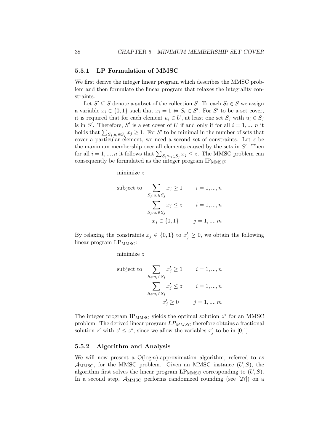#### 5.5.1 LP Formulation of MMSC

We first derive the integer linear program which describes the MMSC problem and then formulate the linear program that relaxes the integrality constraints.

Let  $S' \subseteq S$  denote a subset of the collection S. To each  $S_i \in S$  we assign a variable  $x_i \in \{0,1\}$  such that  $x_i = 1 \Leftrightarrow S_i \in S'$ . For S' to be a set cover, it is required that for each element  $u_i \in U$ , at least one set  $S_j$  with  $u_i \in S_j$ is in S'. Therefore, S' is a set cover of U if and only if for all  $i = 1, ..., n$  it holds that  $\sum_{S_j : u_i \in S_j} x_j \geq 1$ . For S' to be minimal in the number of sets that cover a particular element, we need a second set of constraints. Let z be the maximum membership over all elements caused by the sets in  $S'$ . Then for all  $i = 1, ..., n$  it follows that  $\sum_{S_j : u_i \in S_j} x_j \leq z$ . The MMSC problem can consequently be formulated as the integer program  $IP_{MMSC}$ :

minimize z

subject to 
$$
\sum_{S_j: u_i \in S_j} x_j \ge 1 \qquad i = 1, ..., n
$$

$$
\sum_{S_j: u_i \in S_j} x_j \le z \qquad i = 1, ..., n
$$

$$
x_j \in \{0, 1\} \qquad j = 1, ..., m
$$

By relaxing the constraints  $x_j \in \{0,1\}$  to  $x'_j \geq 0$ , we obtain the following linear program  $LP_{MMSC}$ :

minimize z

subject to  
\n
$$
\sum_{S_j: u_i \in S_j} x'_j \ge 1 \qquad i = 1, ..., n
$$
\n
$$
\sum_{S_j: u_i \in S_j} x'_j \le z \qquad i = 1, ..., n
$$
\n
$$
x'_j \ge 0 \qquad j = 1, ..., m
$$

The integer program  $IP_{MMSC}$  yields the optimal solution  $z^*$  for an MMSC problem. The derived linear program  $LP_{MMSC}$  therefore obtains a fractional solution z' with  $z' \leq z^*$ , since we allow the variables  $x'_j$  to be in [0,1].

#### 5.5.2 Algorithm and Analysis

We will now present a  $O(\log n)$ -approximation algorithm, referred to as  $\mathcal{A}_{MMSC}$ , for the MMSC problem. Given an MMSC instance  $(U, S)$ , the algorithm first solves the linear program  $LP_{MMSC}$  corresponding to  $(U, S)$ . In a second step,  $\mathcal{A}_{MMSC}$  performs randomized rounding (see [27]) on a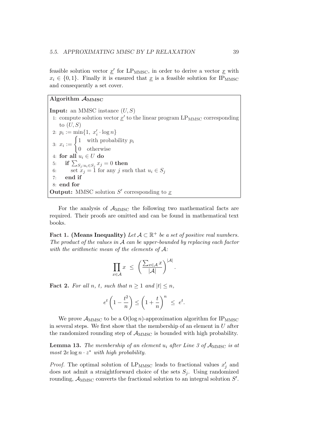feasible solution vector  $\underline{x}'$  for LP<sub>MMSC</sub>, in order to derive a vector  $\underline{x}$  with  $x_i \in \{0, 1\}$ . Finally it is ensured that x is a feasible solution for IP<sub>MMSC</sub> and consequently a set cover.

Algorithm  $A_{MMSC}$ **Input:** an MMSC instance  $(U, S)$ 1: compute solution vector  $\underline{x}'$  to the linear program LP<sub>MMSC</sub> corresponding to  $(U, S)$ 2:  $p_i := \min\{1, x'_i \cdot \log n\}$ 2:  $p_i := \min\{1, x_i \cdot \log n\}$ <br>3:  $x_i := \begin{cases} 1 & \text{with probability } p_i \\ 0 & \text{otherwise} \end{cases}$ 0 otherwise 4: for all  $u_i \in U$  do 4: for an  $u_i \in U$  do<br>5: if  $\sum_{S_j : u_i \in S_j} x_j = 0$  then 6: set  $x_j = 1$  for any j such that  $u_i \in S_j$ 7: end if 8: end for **Output:** MMSC solution  $S'$  corresponding to  $\underline{x}$ 

For the analysis of  $\mathcal{A}_{\text{MMSC}}$  the following two mathematical facts are required. Their proofs are omitted and can be found in mathematical text books.

Fact 1. (Means Inequality) Let  $A \subset \mathbb{R}^+$  be a set of positive real numbers. The product of the values in  $A$  can be upper-bounded by replacing each factor with the arithmetic mean of the elements of  $A$ :

$$
\prod_{x \in \mathcal{A}} x \le \left( \frac{\sum_{x \in \mathcal{A}} x}{|\mathcal{A}|} \right)^{|\mathcal{A}|}.
$$

**Fact 2.** For all n, t, such that  $n \geq 1$  and  $|t| \leq n$ ,

$$
e^t \left(1 - \frac{t^2}{n}\right) \le \left(1 + \frac{t}{n}\right)^n \le e^t.
$$

We prove  $\mathcal{A}_{MMSC}$  to be a  $O(\log n)$ -approximation algorithm for IP<sub>MMSC</sub> in several steps. We first show that the membership of an element in  $U$  after the randomized rounding step of  $\mathcal{A}_{MMSC}$  is bounded with high probability.

**Lemma 13.** The membership of an element  $u_i$  after Line 3 of  $A_{\text{MMSC}}$  is at most  $2e \log n \cdot z^*$  with high probability.

*Proof.* The optimal solution of  $LP_{MMSC}$  leads to fractional values  $x'_j$  and does not admit a straightforward choice of the sets  $S_i$ . Using randomized rounding,  $\mathcal{A}_{MMSC}$  converts the fractional solution to an integral solution  $S'$ .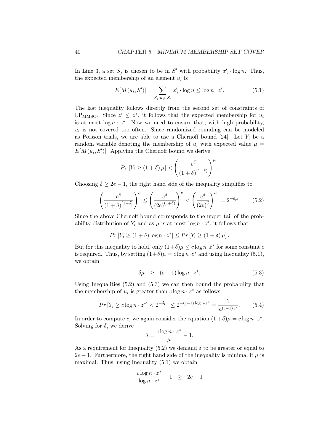In Line 3, a set  $S_j$  is chosen to be in S' with probability  $x'_j \cdot \log n$ . Thus, the expected membership of an element  $u_i$  is

$$
E[M(u_i, S')] = \sum_{S_j: u_i \in S_j} x'_j \cdot \log n \le \log n \cdot z'. \tag{5.1}
$$

The last inequality follows directly from the second set of constraints of LP<sub>MMSC</sub>. Since  $z' \leq z^*$ , it follows that the expected membership for  $u_i$ is at most  $\log n \cdot z^*$ . Now we need to ensure that, with high probability,  $u_i$  is not covered too often. Since randomized rounding can be modeled as Poisson trials, we are able to use a Chernoff bound [24]. Let  $Y_i$  be a random variable denoting the membership of  $u_i$  with expected value  $\mu =$  $E[M(u_i, S')]$ . Applying the Chernoff bound we derive

$$
Pr[Y_i \ge (1+\delta)\,\mu] < \left(\frac{e^{\delta}}{(1+\delta)^{(1+\delta)}}\right)^{\mu}.
$$

Choosing  $\delta \geq 2e - 1$ , the right hand side of the inequality simplifies to

$$
\left(\frac{e^{\delta}}{(1+\delta)^{(1+\delta)}}\right)^{\mu} \le \left(\frac{e^{\delta}}{(2e)^{(1+\delta)}}\right)^{\mu} < \left(\frac{e^{\delta}}{(2e)^{\delta}}\right)^{\mu} = 2^{-\delta\mu}.\tag{5.2}
$$

Since the above Chernoff bound corresponds to the upper tail of the probability distribution of  $Y_i$  and as  $\mu$  is at most log  $n \cdot z^*$ , it follows that

$$
Pr[Y_i \ge (1+\delta)\log n \cdot z^*] \le Pr[Y_i \ge (1+\delta)\mu].
$$

But for this inequality to hold, only  $(1+\delta)\mu \leq c \log n \cdot z^*$  for some constant c is required. Thus, by setting  $(1+\delta)\mu = c \log n \cdot z^*$  and using Inequality (5.1), we obtain

$$
\delta \mu \ge (c-1) \log n \cdot z^*.
$$
 (5.3)

Using Inequalities  $(5.2)$  and  $(5.3)$  we can then bound the probability that the membership of  $u_i$  is greater than  $c \log n \cdot z^*$  as follows:

$$
Pr[Y_i \ge c \log n \cdot z^*] < 2^{-\delta \mu} \le 2^{-(c-1)\log n \cdot z^*} = \frac{1}{n^{(c-1)z^*}}.\tag{5.4}
$$

In order to compute c, we again consider the equation  $(1+\delta)\mu = c \log n \cdot z^*$ . Solving for  $\delta$ , we derive

$$
\delta = \frac{c \log n \cdot z^*}{\mu} - 1.
$$

As a requirement for Inequality (5.2) we demand  $\delta$  to be greater or equal to  $2e-1$ . Furthermore, the right hand side of the inequality is minimal if  $\mu$  is maximal. Thus, using Inequality (5.1) we obtain

$$
\frac{c\log n\cdot z^*}{\log n\cdot z^*} - 1 ~~\geq~~ 2e-1
$$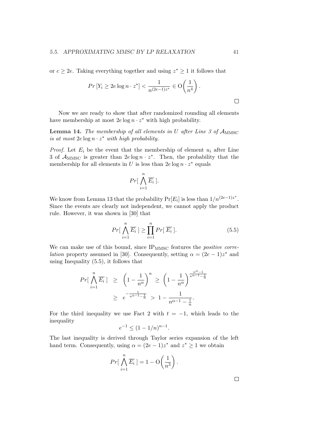or  $c \geq 2e$ . Taking everything together and using  $z^* \geq 1$  it follows that

$$
Pr[Y_i \ge 2e \log n \cdot z^*] < \frac{1}{n^{(2e-1)z^*}} \in O\left(\frac{1}{n^4}\right).
$$

Now we are ready to show that after randomized rounding all elements have membership at most  $2e \log n \cdot z^*$  with high probability.

**Lemma 14.** The membership of all elements in U after Line 3 of  $A_{\text{MMSC}}$ is at most  $2e \log n \cdot z^*$  with high probability.

*Proof.* Let  $E_i$  be the event that the membership of element  $u_i$  after Line 3 of  $\mathcal{A}_{MMSC}$  is greater than  $2e \log n \cdot z^*$ . Then, the probability that the membership for all elements in U is less than  $2e \log n \cdot z^*$  equals

$$
Pr[\bigwedge_{i=1}^{n}\overline{E_i}\,].
$$

We know from Lemma 13 that the probability  $Pr[E_i]$  is less than  $1/n^{(2e-1)z^*}$ . Since the events are clearly not independent, we cannot apply the product rule. However, it was shown in [30] that

$$
Pr[\bigwedge_{i=1}^{n} \overline{E_i}] \ge \prod_{i=1}^{n} Pr[\overline{E_i}]. \tag{5.5}
$$

We can make use of this bound, since  $IP_{MMSC}$  features the *positive correlation* property assumed in [30]. Consequently, setting  $\alpha = (2e - 1)z^*$  and using Inequality (5.5), it follows that

$$
Pr\left[\bigwedge_{i=1}^{n} \overline{E_i}\right] \ge \left(1 - \frac{1}{n^{\alpha}}\right)^n \ge \left(1 - \frac{1}{n^{\alpha}}\right)^{\frac{n^{\alpha} - 1}{n^{\alpha} - 1 - \frac{1}{n}}}
$$

$$
\ge e^{-\frac{1}{n^{\alpha - 1} - \frac{1}{n}}} > 1 - \frac{1}{n^{\alpha - 1} - \frac{1}{n}}.
$$

For the third inequality we use Fact 2 with  $t = -1$ , which leads to the inequality

$$
e^{-1} \le (1 - 1/n)^{n-1}.
$$

The last inequality is derived through Taylor series expansion of the left hand term. Consequently, using  $\alpha = (2e - 1)z^*$  and  $z^* \ge 1$  we obtain

$$
Pr\left[\bigwedge_{i=1}^{n} \overline{E_i}\right] = 1 - \mathcal{O}\left(\frac{1}{n^3}\right).
$$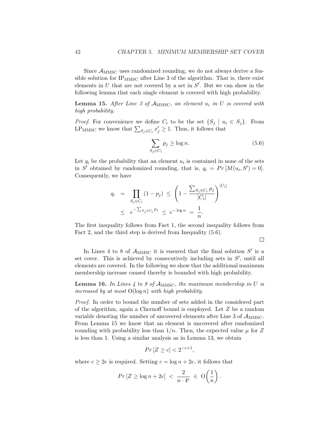Since  $\mathcal{A}_{MMSC}$  uses randomized rounding, we do not always derive a feasible solution for  $IP_{MMSC}$  after Line 3 of the algorithm. That is, there exist elements in  $U$  that are not covered by a set in  $S'$ . But we can show in the following lemma that each single element is covered with high probability.

Lemma 15. After Line 3 of  $A_{MMSC}$ , an element  $u_i$  in U is covered with high probability.

*Proof.* For convenience we define  $C_i$  to be the set  $\{S_j \mid u_i \in S_j\}$ . From *LT00]*. For convenience we define  $C_i$  to be the set  $\{S_j \mid u_i\}$ <br>LP<sub>MMSC</sub> we know that  $\sum_{S_j \in C_i} x'_j \geq 1$ . Thus, it follows that

$$
\sum_{S_j \in C_i} p_j \ge \log n. \tag{5.6}
$$

Let  $q_i$  be the probability that an element  $u_i$  is contained in none of the sets in S' obtained by randomized rounding, that is,  $q_i = Pr[M(u_i, S') = 0].$ Consequently, we have

$$
q_i = \prod_{S_j \in C_i} (1 - p_j) \le \left(1 - \frac{\sum_{S_j \in C_i} p_j}{|C_i|}\right)^{|C_i|}
$$
  

$$
\le e^{-\sum_{S_j \in C_i} p_j} \le e^{-\log n} = \frac{1}{n}.
$$

The first inequality follows from Fact 1, the second inequality follows from Fact 2, and the third step is derived from Inequality (5.6).

 $\Box$ 

In Lines 4 to 8 of  $\mathcal{A}_{\text{MMSC}}$  it is ensured that the final solution  $S'$  is a set cover. This is achieved by consecutively including sets in  $S'$ , until all elements are covered. In the following we show that the additional maximum membership increase caused thereby is bounded with high probability.

**Lemma 16.** In Lines 4 to 8 of  $A_{MMSC}$ , the maximum membership in U is increased by at most  $O(\log n)$  with high probability.

Proof. In order to bound the number of sets added in the considered part of the algorithm, again a Chernoff bound is employed. Let Z be a random variable denoting the number of uncovered elements after Line 3 of  $\mathcal{A}_{MMSC}$ . From Lemma 15 we know that an element is uncovered after randomized rounding with probability less than  $1/n$ . Then, the expected value  $\mu$  for Z is less than 1. Using a similar analysis as in Lemma 13, we obtain

$$
Pr[Z \ge c] < 2^{-c+1},
$$

where  $c > 2e$  is required. Setting  $c = \log n + 2e$ , it follows that

$$
Pr[Z \ge \log n + 2e] < \frac{2}{n \cdot 4^e} \in O\left(\frac{1}{n}\right).
$$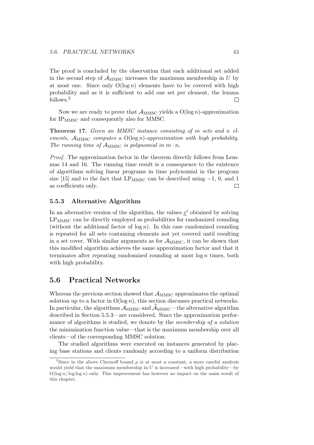The proof is concluded by the observation that each additional set added in the second step of  $\mathcal{A}_{MMSC}$  increases the maximum membership in U by at most one. Since only  $O(\log n)$  elements have to be covered with high probability and as it is sufficient to add one set per element, the lemma follows.<sup>2</sup>  $\Box$ 

Now we are ready to prove that  $\mathcal{A}_{MMSC}$  yields a  $O(\log n)$ -approximation for  $IP<sub>MMSC</sub>$  and consequently also for MMSC.

Theorem 17. Given an MMSC instance consisting of m sets and n elements,  $A_{\text{MMSC}}$  computes a  $O(\log n)$ -approximation with high probability. The running time of  $\mathcal{A}_{\text{MMSC}}$  is polynomial in  $m \cdot n$ .

Proof. The approximation factor in the theorem directly follows from Lemmas 14 and 16. The running time result is a consequence to the existence of algorithms solving linear programs in time polynomial in the program size [15] and to the fact that LP<sub>MMSC</sub> can be described using  $-1$ , 0, and 1 as coefficients only.  $\Box$ 

#### 5.5.3 Alternative Algorithm

In an alternative version of the algorithm, the values  $\underline{x}'$  obtained by solving  $\text{LP}_{\text{MMSC}}$  can be directly employed as probabilities for randomized rounding (without the additional factor of  $\log n$ ). In this case randomized rounding is repeated for all sets containing elements not yet covered until resulting in a set cover. With similar arguments as for  $\mathcal{A}_{MMSC}$ , it can be shown that this modified algorithm achieves the same approximation factor and that it terminates after repeating randomized rounding at most log n times, both with high probability.

### 5.6 Practical Networks

Whereas the previous section showed that  $\mathcal{A}_{MMSC}$  approximates the optimal solution up to a factor in  $O(\log n)$ , this section discusses practical networks. In particular, the algorithms  $A_{\text{MMSC}}$  and  $A_{\text{MMSC}}$ —the alternative algorithm described in Section 5.5.3—are considered. Since the approximation performance of algorithms is studied, we denote by the membership of a solution the minimization function value—that is the maximum membership over all clients—of the corresponding MMSC solution.

The studied algorithms were executed on instances generated by placing base stations and clients randomly according to a uniform distribution

<sup>&</sup>lt;sup>2</sup>Since in the above Chernoff bound  $\mu$  is at most a constant, a more careful analysis would yield that the maximum membership in  $U$  is increased—with high probability—by  $O(\log n / \log \log n)$  only. This improvement has however no impact on the main result of this chapter.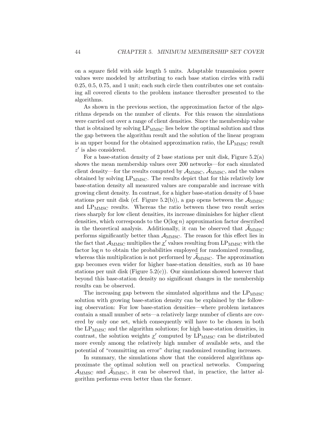on a square field with side length 5 units. Adaptable transmission power values were modeled by attributing to each base station circles with radii 0.25, 0.5, 0.75, and 1 unit; each such circle then contributes one set containing all covered clients to the problem instance thereafter presented to the algorithms.

As shown in the previous section, the approximation factor of the algorithms depends on the number of clients. For this reason the simulations were carried out over a range of client densities. Since the membership value that is obtained by solving  $LP_{MMSC}$  lies below the optimal solution and thus the gap between the algorithm result and the solution of the linear program is an upper bound for the obtained approximation ratio, the  $LP_{MMSC}$  result  $z'$  is also considered.

For a base-station density of 2 base stations per unit disk, Figure  $5.2(a)$ shows the mean membership values over 200 networks—for each simulated client density—for the results computed by  $\mathcal{A}_{MMSC}$ ,  $\widetilde{\mathcal{A}}_{MMSC}$ , and the values obtained by solving  $LP_{MMSC}$ . The results depict that for this relatively low base-station density all measured values are comparable and increase with growing client density. In contrast, for a higher base-station density of 5 base stations per unit disk (cf. Figure 5.2(b)), a gap opens between the  $\mathcal{A}_{MMSC}$ and LP<sub>MMSC</sub> results. Whereas the ratio between these two result series rises sharply for low client densities, its increase diminishes for higher client densities, which corresponds to the  $O(\log n)$  approximation factor described in the theoretical analysis. Additionally, it can be observed that  $\mathcal{A}_{MMSC}$ performs significantly better than  $A_{\text{MMSC}}$ . The reason for this effect lies in the fact that  $\mathcal{A}_{\text{MMSC}}$  multiplies the  $\underline{x}'$  values resulting from  $\text{LP}_{\text{MMSC}}$  with the factor  $\log n$  to obtain the probabilities employed for randomized rounding, whereas this multiplication is not performed by  $\mathcal{A}_{MMSC}$ . The approximation gap becomes even wider for higher base-station densities, such as 10 base stations per unit disk (Figure 5.2(c)). Our simulations showed however that beyond this base-station density no significant changes in the membership results can be observed.

The increasing gap between the simulated algorithms and the  $LP_{MMSC}$ solution with growing base-station density can be explained by the following observation: For low base-station densities—where problem instances contain a small number of sets—a relatively large number of clients are covered by only one set, which consequently will have to be chosen in both the  $LP_{MMSC}$  and the algorithm solutions; for high base-station densities, in contrast, the solution weights  $\underline{x}'$  computed by  $LP_{MMSC}$  can be distributed more evenly among the relatively high number of available sets, and the potential of "committing an error" during randomized rounding increases.

In summary, the simulations show that the considered algorithms approximate the optimal solution well on practical networks. Comparing  $A_{MMSC}$  and  $A_{MMSC}$ , it can be observed that, in practice, the latter algorithm performs even better than the former.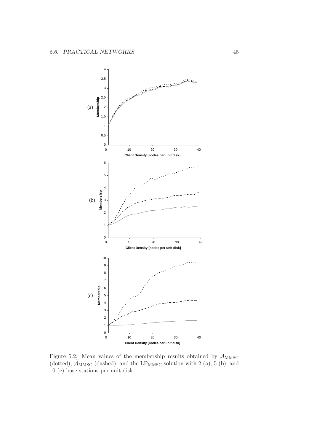

Figure 5.2: Mean values of the membership results obtained by  $A_{MMSC}$ (dotted),  $\widetilde{\mathcal{A}}_{MMSC}$  (dashed), and the LP<sub>MMSC</sub> solution with 2 (a), 5 (b), and 10 (c) base stations per unit disk.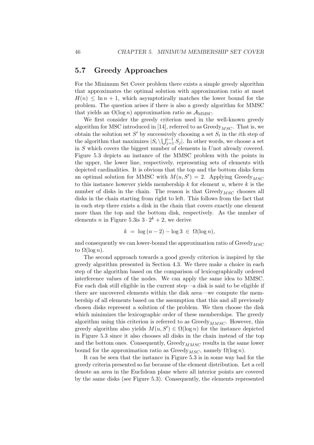### 5.7 Greedy Approaches

For the Minimum Set Cover problem there exists a simple greedy algorithm that approximates the optimal solution with approximation ratio at most  $H(n) \leq \ln n + 1$ , which asymptotically matches the lower bound for the problem. The question arises if there is also a greedy algorithm for MMSC that yields an  $O(\log n)$  approximation ratio as  $\mathcal{A}_{MMSC}$ .

We first consider the greedy criterion used in the well-known greedy algorithm for MSC introduced in [14], referred to as  $Greedy_{MSC}$ . That is, we obtain the solution set S' by successively choosing a set  $S_i$  in the *i*th step of obtain the solution set  $S$  by successiver<br>the algorithm that maximizes  $|S_i \setminus \bigcup_{i=1}^{i-1}$  $\sum_{j=1}^{i-1} S_j$ . In other words, we choose a set in S which covers the biggest number of elements in Unot already covered. Figure 5.3 depicts an instance of the MMSC problem with the points in the upper, the lower line, respectively, representing sets of elements with depicted cardinalities. It is obvious that the top and the bottom disks form an optimal solution for MMSC with  $M(u, S') = 2$ . Applying Greedy<sub>MSC</sub> to this instance however yields membership  $k$  for element  $u$ , where  $k$  is the number of disks in the chain. The reason is that  $Greedy_{MSC}$  chooses all disks in the chain starting from right to left. This follows from the fact that in each step there exists a disk in the chain that covers exactly one element more than the top and the bottom disk, respectively. As the number of elements *n* in Figure 5.3is  $3 \cdot 2^k + 2$ , we derive

$$
k = \log (n-2) - \log 3 \in \Omega(\log n),
$$

and consequently we can lower-bound the approximation ratio of  $Greedy_{MSC}$ to  $\Omega(\log n)$ .

The second approach towards a good greedy criterion is inspired by the greedy algorithm presented in Section 4.3. We there make a choice in each step of the algorithm based on the comparison of lexicographically ordered interference values of the nodes. We can apply the same idea to MMSC. For each disk still eligible in the current step—a disk is said to be eligible if there are uncovered elements within the disk area—we compute the membership of all elements based on the assumption that this and all previously chosen disks represent a solution of the problem. We then choose the disk which minimizes the lexicographic order of these memberships. The greedy algorithm using this criterion is referred to as  $Greedy_{MMSC}$ . However, this greedy algorithm also yields  $M(u, S') \in \Omega(\log n)$  for the instance depicted in Figure 5.3 since it also chooses all disks in the chain instead of the top and the bottom ones. Consequently,  $Greedy_{MMSC}$  results in the same lower bound for the approximation ratio as Greedy<sub>MSC</sub>, namely  $\Omega(\log n)$ .

It can be seen that the instance in Figure 5.3 is in some way bad for the greedy criteria presented so far because of the element distribution. Let a cell denote an area in the Euclidean plane where all interior points are covered by the same disks (see Figure 5.3). Consequently, the elements represented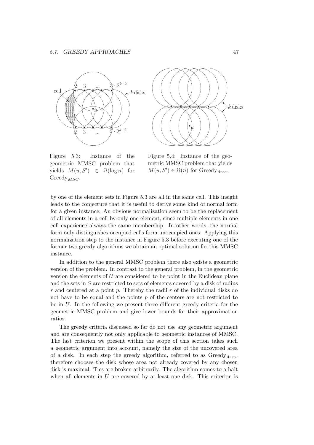



Figure 5.3: Instance of the geometric MMSC problem that yields  $M(u, S') \in \Omega(\log n)$  for Greedy<sub>*MSC*</sub>.

Figure 5.4: Instance of the geometric MMSC problem that yields  $M(u, S') \in \Omega(n)$  for Greedy<sub>Area</sub>.

by one of the element sets in Figure 5.3 are all in the same cell. This insight leads to the conjecture that it is useful to derive some kind of normal form for a given instance. An obvious normalization seem to be the replacement of all elements in a cell by only one element, since multiple elements in one cell experience always the same membership. In other words, the normal form only distinguishes occupied cells form unoccupied ones. Applying this normalization step to the instance in Figure 5.3 before executing one of the former two greedy algorithms we obtain an optimal solution for this MMSC instance.

In addition to the general MMSC problem there also exists a geometric version of the problem. In contrast to the general problem, in the geometric version the elements of  $U$  are considered to be point in the Euclidean plane and the sets in  $S$  are restricted to sets of elements covered by a disk of radius r and centered at a point p. Thereby the radii  $r$  of the individual disks do not have to be equal and the points  $p$  of the centers are not restricted to be in  $U$ . In the following we present three different greedy criteria for the geometric MMSC problem and give lower bounds for their approximation ratios.

The greedy criteria discussed so far do not use any geometric argument and are consequently not only applicable to geometric instances of MMSC. The last criterion we present within the scope of this section takes such a geometric argument into account, namely the size of the uncovered area of a disk. In each step the greedy algorithm, referred to as  $Greedy_{Area}$ , therefore chooses the disk whose area not already covered by any chosen disk is maximal. Ties are broken arbitrarily. The algorithm comes to a halt when all elements in  $U$  are covered by at least one disk. This criterion is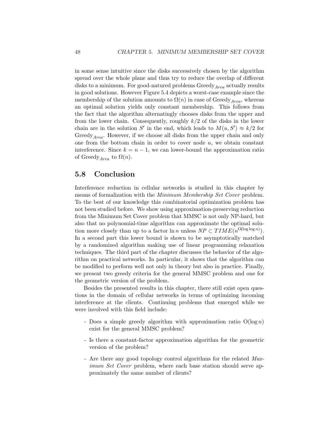in some sense intuitive since the disks successively chosen by the algorithm spread over the whole plane and thus try to reduce the overlap of different disks to a minimum. For good-natured problems  $Greedy_{Area}$  actually results in good solutions. However Figure 5.4 depicts a worst-case example since the membership of the solution amounts to  $\Omega(n)$  in case of Greedy<sub>Area</sub>, whereas an optimal solution yields only constant membership. This follows from the fact that the algorithm alternatingly chooses disks from the upper and from the lower chain. Consequently, roughly  $k/2$  of the disks in the lower chain are in the solution S' in the end, which leads to  $M(u, S') \approx k/2$  for Greedy<sub>Area</sub>. However, if we choose all disks from the upper chain and only one from the bottom chain in order to cover node  $u$ , we obtain constant interference. Since  $k = n - 1$ , we can lower-bound the approximation ratio of Greedy<sub>Area</sub> to  $\Omega(n)$ .

### 5.8 Conclusion

Interference reduction in cellular networks is studied in this chapter by means of formalization with the Minimum Membership Set Cover problem. To the best of our knowledge this combinatorial optimization problem has not been studied before. We show using approximation-preserving reduction from the Minimum Set Cover problem that MMSC is not only NP-hard, but also that no polynomial-time algorithm can approximate the optimal solution more closely than up to a factor  $\ln n$  unless  $NP \subset TIME(n^{\text{O}(\log \log n)})$ . In a second part this lower bound is shown to be asymptotically matched by a randomized algorithm making use of linear programming relaxation techniques. The third part of the chapter discusses the behavior of the algorithm on practical networks. In particular, it shows that the algorithm can be modified to perform well not only in theory but also in practice. Finally, we present two greedy criteria for the general MMSC problem and one for the geometric version of the problem.

Besides the presented results in this chapter, there still exist open questions in the domain of cellular networks in terms of optimizing incoming interference at the clients. Continuing problems that emerged while we were involved with this field include:

- Does a simple greedy algorithm with approximation ratio  $O(\log n)$ exist for the general MMSC problem?
- Is there a constant-factor approximation algorithm for the geometric version of the problem?
- Are there any good topology control algorithms for the related Maximum Set Cover problem, where each base station should serve approximately the same number of clients?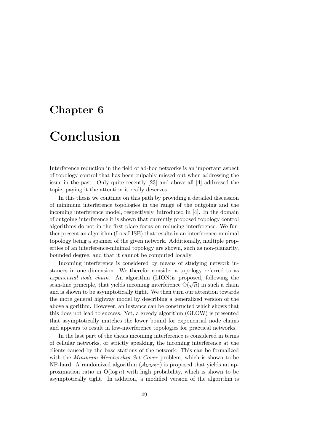# Chapter 6 Conclusion

Interference reduction in the field of ad-hoc networks is an important aspect of topology control that has been culpably missed out when addressing the issue in the past. Only quite recently [23] and above all [4] addressed the topic, paying it the attention it really deserves.

In this thesis we continue on this path by providing a detailed discussion of minimum interference topologies in the range of the outgoing and the incoming interference model, respectively, introduced in [4]. In the domain of outgoing interference it is shown that currently proposed topology control algorithms do not in the first place focus on reducing interference. We further present an algorithm (LocaLISE) that results in an interference-minimal topology being a spanner of the given network. Additionally, multiple properties of an interference-minimal topology are shown, such as non-planarity, bounded degree, and that it cannot be computed locally.

Incoming interference is considered by means of studying network instances in one dimension. We therefor consider a topology referred to as exponential node chain. An algorithm (LION)is proposed, following the exponential node chain. An algorithm (LION) is proposed, following the scan-line principle, that yields incoming interference  $O(\sqrt{n})$  in such a chain and is shown to be asymptotically tight. We then turn our attention towards the more general highway model by describing a generalized version of the above algorithm. However, an instance can be constructed which shows that this does not lead to success. Yet, a greedy algorithm (GLOW) is presented that asymptotically matches the lower bound for exponential node chains and appears to result in low-interference topologies for practical networks.

In the last part of the thesis incoming interference is considered in terms of cellular networks, or strictly speaking, the incoming interference at the clients caused by the base stations of the network. This can be formalized with the *Minimum Membership Set Cover* problem, which is shown to be NP-hard. A randomized algorithm  $(A_{MMSC})$  is proposed that yields an approximation ratio in  $O(\log n)$  with high probability, which is shown to be asymptotically tight. In addition, a modified version of the algorithm is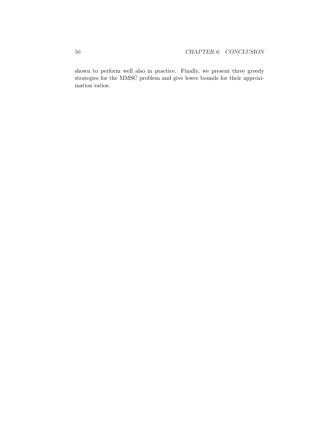shown to perform well also in practice. Finally, we present three greedy strategies for the MMSC problem and give lower bounds for their approximation ratios.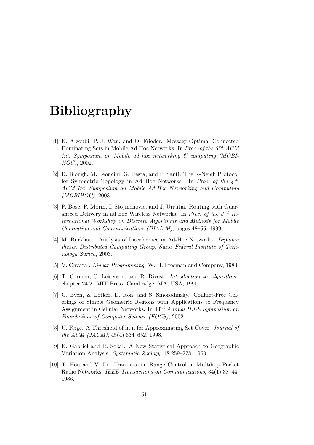# Bibliography

- [1] K. Alzoubi, P.-J. Wan, and O. Frieder. Message-Optimal Connected Dominating Sets in Mobile Ad Hoc Networks. In Proc. of the  $3^{rd}$  ACM Int. Symposium on Mobile ad hoc networking  $\mathcal{C}$  computing (MOBI-HOC), 2002.
- [2] D. Blough, M. Leoncini, G. Resta, and P. Santi. The K-Neigh Protocol for Symmetric Topology in Ad Hoc Networks. In Proc. of the  $4^{th}$ ACM Int. Symposium on Mobile Ad-Hoc Networking and Computing  $(MOBIHOC)$ , 2003.
- [3] P. Bose, P. Morin, I. Stojmenovic, and J. Urrutia. Routing with Guaranteed Delivery in ad hoc Wireless Networks. In Proc. of the  $3^{rd}$  International Workshop on Discrete Algorithms and Methods for Mobile Computing and Communications (DIAL-M), pages 48–55, 1999.
- [4] M. Burkhart. Analysis of Interference in Ad-Hoc Networks. Diploma thesis, Distributed Computing Group, Swiss Federal Institute of Technology Zurich, 2003.
- [5] V. Chvátal. *Linear Programming.* W. H. Freeman and Company, 1983.
- [6] T. Cormen, C. Leiserson, and R. Rivest. Introduction to Algorithms, chapter 24.2. MIT Press, Cambridge, MA, USA, 1990.
- [7] G. Even, Z. Lotker, D. Ron, and S. Smorodinsky. Conflict-Free Colorings of Simple Geometric Regions with Applications to Frequency Assignment in Cellular Networks. In 43rd Annual IEEE Symposium on Foundations of Computer Science (FOCS), 2002.
- [8] U. Feige. A Threshold of ln n for Approximating Set Cover. Journal of the ACM (JACM), 45(4):634–652, 1998.
- [9] K. Gabriel and R. Sokal. A New Statistical Approach to Geographic Variation Analysis. Systematic Zoology, 18:259–278, 1969.
- [10] T. Hou and V. Li. Transmission Range Control in Multihop Packet Radio Networks. IEEE Transactions on Communications, 34(1):38–44, 1986.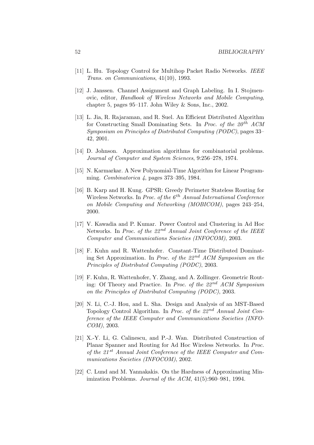- [11] L. Hu. Topology Control for Multihop Packet Radio Networks. IEEE Trans. on Communications, 41(10), 1993.
- [12] J. Janssen. Channel Assignment and Graph Labeling. In I. Stojmenovic, editor, Handbook of Wireless Networks and Mobile Computing, chapter 5, pages 95–117. John Wiley & Sons, Inc., 2002.
- [13] L. Jia, R. Rajaraman, and R. Suel. An Efficient Distributed Algorithm for Constructing Small Dominating Sets. In Proc. of the  $20<sup>th</sup>$  ACM Symposium on Principles of Distributed Computing (PODC), pages 33– 42, 2001.
- [14] D. Johnson. Approximation algorithms for combinatorial problems. Journal of Computer and System Sciences, 9:256–278, 1974.
- [15] N. Karmarkar. A New Polynomial-Time Algorithm for Linear Programming. Combinatorica 4, pages 373–395, 1984.
- [16] B. Karp and H. Kung. GPSR: Greedy Perimeter Stateless Routing for Wireless Networks. In Proc. of the  $6<sup>th</sup>$  Annual International Conference on Mobile Computing and Networking (MOBICOM), pages 243–254, 2000.
- [17] V. Kawadia and P. Kumar. Power Control and Clustering in Ad Hoc Networks. In Proc. of the  $22^{nd}$  Annual Joint Conference of the IEEE Computer and Communications Societies (INFOCOM), 2003.
- [18] F. Kuhn and R. Wattenhofer. Constant-Time Distributed Dominating Set Approximation. In Proc. of the  $22^{nd}$  ACM Symposium on the Principles of Distributed Computing (PODC), 2003.
- [19] F. Kuhn, R. Wattenhofer, Y. Zhang, and A. Zollinger. Geometric Routing: Of Theory and Practice. In Proc. of the  $22^{nd}$  ACM Symposium on the Principles of Distributed Computing (PODC), 2003.
- [20] N. Li, C.-J. Hou, and L. Sha. Design and Analysis of an MST-Based Topology Control Algorithm. In Proc. of the  $22^{nd}$  Annual Joint Conference of the IEEE Computer and Communications Societies (INFO-COM), 2003.
- [21] X.-Y. Li, G. Calinescu, and P.-J. Wan. Distributed Construction of Planar Spanner and Routing for Ad Hoc Wireless Networks. In Proc. of the  $21^{st}$  Annual Joint Conference of the IEEE Computer and Communications Societies (INFOCOM), 2002.
- [22] C. Lund and M. Yannakakis. On the Hardness of Approximating Minimization Problems. Journal of the ACM, 41(5):960–981, 1994.